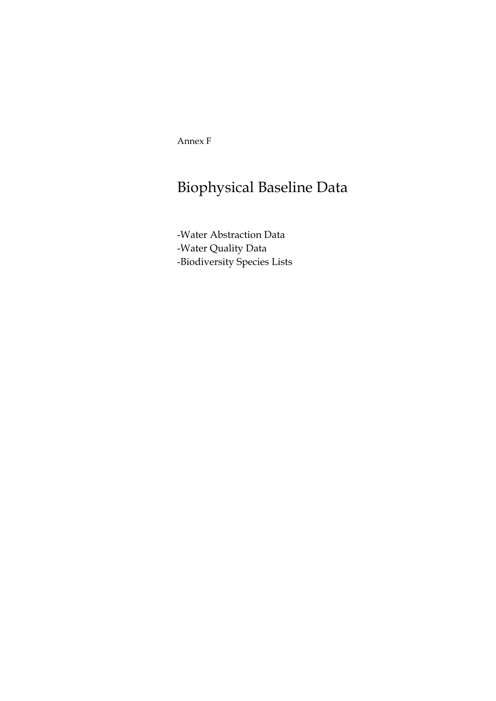Annex F

# Biophysical Baseline Data

-Water Abstraction Data -Water Quality Data -Biodiversity Species Lists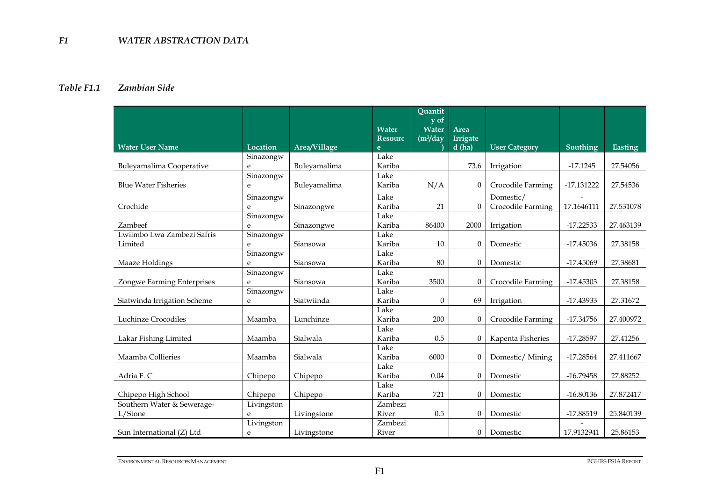#### *Table F1.1 Zambian Side*

|                             |            |              |                | Quantit               |                 |                      |              |                |
|-----------------------------|------------|--------------|----------------|-----------------------|-----------------|----------------------|--------------|----------------|
|                             |            |              | <b>Water</b>   | $y$ of<br>Water       | Area            |                      |              |                |
|                             |            |              | <b>Resourc</b> | (m <sup>3</sup> /day) | <b>Irrigate</b> |                      |              |                |
| <b>Water User Name</b>      | Location   | Area/Village | e.             |                       | d(ha)           | <b>User Category</b> | Southing     | <b>Easting</b> |
|                             | Sinazongw  |              | Lake           |                       |                 |                      |              |                |
| Buleyamalima Cooperative    | e          | Buleyamalima | Kariba         |                       | 73.6            | Irrigation           | $-17.1245$   | 27.54056       |
|                             | Sinazongw  |              | Lake           |                       |                 |                      |              |                |
| <b>Blue Water Fisheries</b> | e          | Buleyamalima | Kariba         | N/A                   | $\theta$        | Crocodile Farming    | $-17.131222$ | 27.54536       |
|                             | Sinazongw  |              | Lake           |                       |                 | Domestic/            |              |                |
| Crochide                    | e          | Sinazongwe   | Kariba         | 21                    | $\overline{0}$  | Crocodile Farming    | 17.1646111   | 27.531078      |
|                             | Sinazongw  |              | Lake           |                       |                 |                      |              |                |
| Zambeef                     | e          | Sinazongwe   | Kariba         | 86400                 | 2000            | Irrigation           | $-17.22533$  | 27.463139      |
| Lwiimbo Lwa Zambezi Safris  | Sinazongw  |              | Lake           |                       |                 |                      |              |                |
| Limited                     | e          | Siansowa     | Kariba         | 10                    | $\overline{0}$  | Domestic             | $-17.45036$  | 27.38158       |
|                             | Sinazongw  |              | Lake           |                       |                 |                      |              |                |
| Maaze Holdings              | e          | Siansowa     | Kariba         | 80                    | $\overline{0}$  | Domestic             | -17.45069    | 27.38681       |
|                             | Sinazongw  |              | Lake           |                       |                 |                      |              |                |
| Zongwe Farming Enterprises  | e          | Siansowa     | Kariba         | 3500                  | 0               | Crocodile Farming    | $-17.45303$  | 27.38158       |
|                             | Sinazongw  |              | Lake           |                       |                 |                      |              |                |
| Siatwinda Irrigation Scheme | e          | Siatwiinda   | Kariba         | $\boldsymbol{0}$      | 69              | Irrigation           | -17.43933    | 27.31672       |
|                             |            |              | Lake           |                       |                 |                      |              |                |
| <b>Luchinze Crocodiles</b>  | Maamba     | Lunchinze    | Kariba         | 200                   | $\overline{0}$  | Crocodile Farming    | $-17.34756$  | 27.400972      |
|                             |            |              | Lake<br>Kariba | 0.5                   |                 |                      |              |                |
| Lakar Fishing Limited       | Maamba     | Sialwala     | Lake           |                       | $\overline{0}$  | Kapenta Fisheries    | $-17.28597$  | 27.41256       |
| Maamba Collieries           | Maamba     | Sialwala     | Kariba         | 6000                  | $\overline{0}$  | Domestic/Mining      | $-17.28564$  | 27.411667      |
|                             |            |              | Lake           |                       |                 |                      |              |                |
| Adria F. C                  | Chipepo    | Chipepo      | Kariba         | 0.04                  | $\overline{0}$  | Domestic             | $-16.79458$  | 27.88252       |
|                             |            |              | Lake           |                       |                 |                      |              |                |
| Chipepo High School         | Chipepo    | Chipepo      | Kariba         | 721                   | $\overline{0}$  | Domestic             | $-16.80136$  | 27.872417      |
| Southern Water & Sewerage-  | Livingston |              | Zambezi        |                       |                 |                      |              |                |
| L/Stone                     | e          | Livingstone  | River          | 0.5                   | $\theta$        | Domestic             | -17.88519    | 25.840139      |
|                             | Livingston |              | Zambezi        |                       |                 |                      |              |                |
| Sun International (Z) Ltd   | e          | Livingstone  | River          |                       | $\theta$        | Domestic             | 17.9132941   | 25.86153       |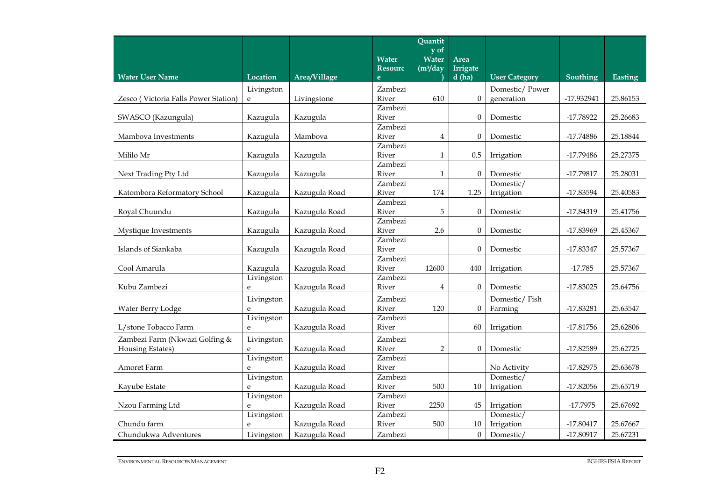|                                      |                 |               |                  | Quantit                 |                  |                          |             |                |
|--------------------------------------|-----------------|---------------|------------------|-------------------------|------------------|--------------------------|-------------|----------------|
|                                      |                 |               | <b>Water</b>     | y of<br>Water           | <b>Area</b>      |                          |             |                |
|                                      |                 |               | <b>Resourc</b>   | (m <sup>3</sup> /day)   | <b>Irrigate</b>  |                          |             |                |
| <b>Water User Name</b>               | Location        | Area/Village  | e                |                         | d(ha)            | <b>User Category</b>     | Southing    | <b>Easting</b> |
|                                      | Livingston      |               | Zambezi          |                         |                  | Domestic/Power           |             |                |
| Zesco (Victoria Falls Power Station) | e               | Livingstone   | River            | 610                     | $\overline{0}$   | generation               | -17.932941  | 25.86153       |
|                                      |                 |               | Zambezi          |                         |                  |                          |             |                |
| SWASCO (Kazungula)                   | Kazugula        | Kazugula      | River            |                         | $\overline{0}$   | Domestic                 | $-17.78922$ | 25.26683       |
|                                      |                 |               | Zambezi          |                         |                  |                          |             |                |
| Mambova Investments                  | Kazugula        | Mambova       | River<br>Zambezi | $\overline{4}$          | $\theta$         | Domestic                 | -17.74886   | 25.18844       |
| Mililo Mr                            |                 | Kazugula      | River            | $\mathbf{1}$            | 0.5              | Irrigation               | -17.79486   | 25.27375       |
|                                      | Kazugula        |               | Zambezi          |                         |                  |                          |             |                |
| Next Trading Pty Ltd                 | Kazugula        | Kazugula      | River            | $\mathbf{1}$            | $\Omega$         | Domestic                 | -17.79817   | 25.28031       |
|                                      |                 |               | Zambezi          |                         |                  | Domestic/                |             |                |
| Katombora Reformatory School         | Kazugula        | Kazugula Road | River            | 174                     | 1.25             | Irrigation               | -17.83594   | 25.40583       |
|                                      |                 |               | Zambezi          |                         |                  |                          |             |                |
| Royal Chuundu                        | Kazugula        | Kazugula Road | River            | 5                       | $\boldsymbol{0}$ | Domestic                 | -17.84319   | 25.41756       |
|                                      |                 |               | Zambezi          |                         |                  |                          |             |                |
| Mystique Investments                 | Kazugula        | Kazugula Road | River            | 2.6                     | $\boldsymbol{0}$ | Domestic                 | -17.83969   | 25.45367       |
|                                      |                 |               | Zambezi          |                         |                  |                          |             |                |
| Islands of Siankaba                  | Kazugula        | Kazugula Road | River            |                         | $\boldsymbol{0}$ | Domestic                 | -17.83347   | 25.57367       |
|                                      |                 |               | Zambezi          |                         |                  |                          |             |                |
| Cool Amarula                         | Kazugula        | Kazugula Road | River            | 12600                   | 440              | Irrigation               | $-17.785$   | 25.57367       |
|                                      | Livingston      |               | Zambezi          |                         |                  |                          |             |                |
| Kubu Zambezi                         | e               | Kazugula Road | River            | $\overline{\mathbf{4}}$ | $\mathbf{0}$     | Domestic                 | $-17.83025$ | 25.64756       |
|                                      | Livingston      |               | Zambezi          |                         |                  | Domestic/Fish            |             |                |
| Water Berry Lodge                    | e               | Kazugula Road | River            | 120                     | $\overline{0}$   | Farming                  | $-17.83281$ | 25.63547       |
|                                      | Livingston      |               | Zambezi          |                         |                  |                          |             |                |
| L/stone Tobacco Farm                 | e               | Kazugula Road | River            |                         | 60               | Irrigation               | $-17.81756$ | 25.62806       |
| Zambezi Farm (Nkwazi Golfing &       | Livingston      |               | Zambezi          |                         |                  |                          |             |                |
| <b>Housing Estates)</b>              | e               | Kazugula Road | River            | $\overline{2}$          | $\boldsymbol{0}$ | Domestic                 | $-17.82589$ | 25.62725       |
|                                      | Livingston      |               | Zambezi          |                         |                  |                          |             |                |
| Amoret Farm                          | e               | Kazugula Road | River<br>Zambezi |                         |                  | No Activity<br>Domestic/ | $-17.82975$ | 25.63678       |
| Kayube Estate                        | Livingston<br>e | Kazugula Road | River            | 500                     | 10               | Irrigation               | $-17.82056$ | 25.65719       |
|                                      | Livingston      |               | Zambezi          |                         |                  |                          |             |                |
| Nzou Farming Ltd                     | e               | Kazugula Road | River            | 2250                    | 45               | Irrigation               | $-17.7975$  | 25.67692       |
|                                      | Livingston      |               | Zambezi          |                         |                  | Domestic/                |             |                |
| Chundu farm                          | e               | Kazugula Road | River            | 500                     | 10               | Irrigation               | $-17.80417$ | 25.67667       |
| Chundukwa Adventures                 | Livingston      | Kazugula Road | Zambezi          |                         | $\overline{0}$   | Domestic/                | $-17.80917$ | 25.67231       |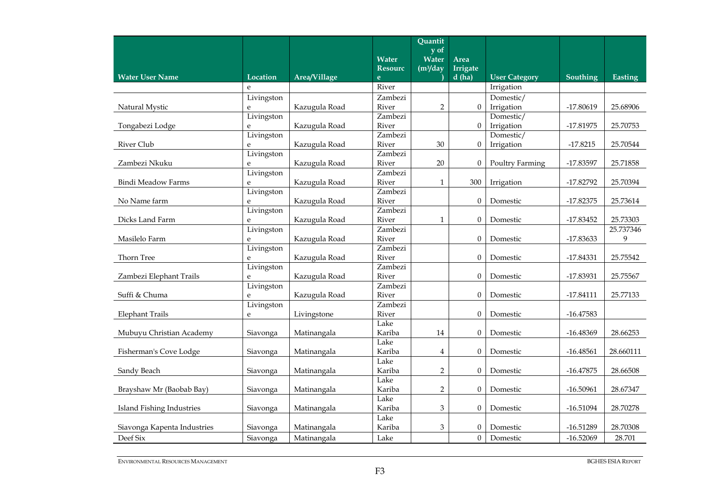|                                  |                 |               |                  | Quantit                 |                  |                      |             |                |
|----------------------------------|-----------------|---------------|------------------|-------------------------|------------------|----------------------|-------------|----------------|
|                                  |                 |               | Water            | $y$ of<br>Water         | Area             |                      |             |                |
|                                  |                 |               | <b>Resourc</b>   | (m <sup>3</sup> /day)   | <b>Irrigate</b>  |                      |             |                |
| <b>Water User Name</b>           | Location        | Area/Village  | e.               |                         | d(ha)            | <b>User Category</b> | Southing    | <b>Easting</b> |
|                                  | e               |               | River            |                         |                  | Irrigation           |             |                |
|                                  | Livingston      |               | Zambezi          |                         |                  | Domestic/            |             |                |
| Natural Mystic                   | e               | Kazugula Road | River            | $\overline{2}$          | $\Omega$         | Irrigation           | -17.80619   | 25.68906       |
|                                  | Livingston      |               | Zambezi          |                         |                  | Domestic/            |             |                |
| Tongabezi Lodge                  | e               | Kazugula Road | River            |                         | $\theta$         | Irrigation           | -17.81975   | 25.70753       |
|                                  | Livingston      |               | Zambezi          |                         |                  | Domestic/            |             |                |
| River Club                       | e               | Kazugula Road | River            | 30                      | $\mathbf{0}$     | Irrigation           | $-17.8215$  | 25.70544       |
|                                  | Livingston      |               | Zambezi          |                         |                  |                      |             |                |
| Zambezi Nkuku                    | e               | Kazugula Road | River            | 20                      | $\mathbf{0}$     | Poultry Farming      | -17.83597   | 25.71858       |
| <b>Bindi Meadow Farms</b>        | Livingston      | Kazugula Road | Zambezi<br>River | $\mathbf{1}$            | 300              | Irrigation           | $-17.82792$ | 25.70394       |
|                                  | e<br>Livingston |               | Zambezi          |                         |                  |                      |             |                |
| No Name farm                     | e               | Kazugula Road | River            |                         | $\overline{0}$   | Domestic             | $-17.82375$ | 25.73614       |
|                                  | Livingston      |               | Zambezi          |                         |                  |                      |             |                |
| Dicks Land Farm                  | e               | Kazugula Road | River            | $\mathbf{1}$            | $\theta$         | Domestic             | $-17.83452$ | 25.73303       |
|                                  | Livingston      |               | Zambezi          |                         |                  |                      |             | 25.737346      |
| Masilelo Farm                    | e               | Kazugula Road | River            |                         | $\overline{0}$   | Domestic             | $-17.83633$ | 9              |
|                                  | Livingston      |               | Zambezi          |                         |                  |                      |             |                |
| <b>Thorn Tree</b>                | e               | Kazugula Road | River            |                         | $\theta$         | Domestic             | $-17.84331$ | 25.75542       |
|                                  | Livingston      |               | Zambezi          |                         |                  |                      |             |                |
| Zambezi Elephant Trails          | e               | Kazugula Road | River            |                         | $\theta$         | Domestic             | $-17.83931$ | 25.75567       |
|                                  | Livingston      |               | Zambezi          |                         |                  |                      |             |                |
| Suffi & Chuma                    | e               | Kazugula Road | River            |                         | $\boldsymbol{0}$ | Domestic             | $-17.84111$ | 25.77133       |
|                                  | Livingston      |               | Zambezi          |                         |                  |                      |             |                |
| <b>Elephant Trails</b>           | e               | Livingstone   | River            |                         | $\boldsymbol{0}$ | Domestic             | $-16.47583$ |                |
|                                  |                 |               | Lake             |                         |                  |                      |             |                |
| Mubuyu Christian Academy         | Siavonga        | Matinangala   | Kariba<br>Lake   | 14                      | $\overline{0}$   | Domestic             | $-16.48369$ | 28.66253       |
| Fisherman's Cove Lodge           | Siavonga        | Matinangala   | Kariba           | $\overline{\mathbf{4}}$ | $\boldsymbol{0}$ | Domestic             | $-16.48561$ | 28.660111      |
|                                  |                 |               | Lake             |                         |                  |                      |             |                |
| Sandy Beach                      | Siavonga        | Matinangala   | Kariba           | $\overline{2}$          | $\mathbf{0}$     | Domestic             | $-16.47875$ | 28.66508       |
|                                  |                 |               | Lake             |                         |                  |                      |             |                |
| Brayshaw Mr (Baobab Bay)         | Siavonga        | Matinangala   | Kariba           | $\overline{2}$          | $\overline{0}$   | Domestic             | $-16.50961$ | 28.67347       |
|                                  |                 |               | Lake             |                         |                  |                      |             |                |
| <b>Island Fishing Industries</b> | Siavonga        | Matinangala   | Kariba           | 3                       | $\overline{0}$   | Domestic             | $-16.51094$ | 28.70278       |
|                                  |                 |               | Lake             |                         |                  |                      |             |                |
| Siavonga Kapenta Industries      | Siavonga        | Matinangala   | Kariba           | $\mathfrak{Z}$          | $\theta$         | Domestic             | $-16.51289$ | 28.70308       |
| Deef Six                         | Siavonga        | Matinangala   | Lake             |                         | $\mathbf{0}$     | Domestic             | $-16.52069$ | 28.701         |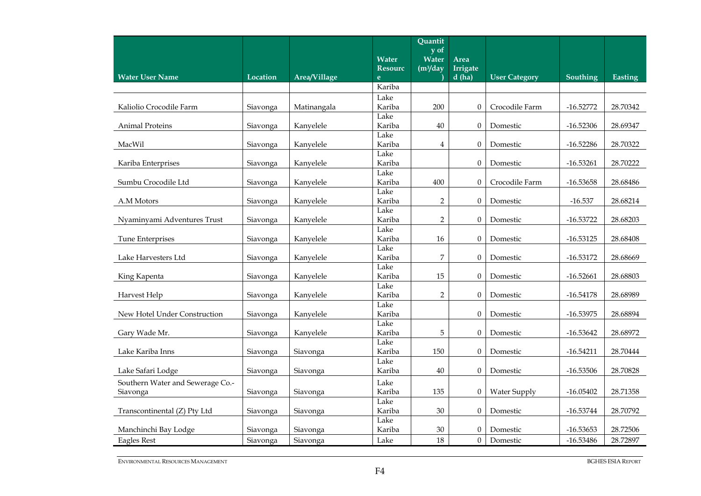|                                  |          |              |                      | Quantit              |                          |                      |             |                |
|----------------------------------|----------|--------------|----------------------|----------------------|--------------------------|----------------------|-------------|----------------|
|                                  |          |              | <b>Water</b>         | y of<br>Water        | <b>Area</b>              |                      |             |                |
| <b>Water User Name</b>           | Location | Area/Village | <b>Resourc</b><br>e. | (m <sup>3</sup> /day | <b>Irrigate</b><br>d(ha) | <b>User Category</b> | Southing    | <b>Easting</b> |
|                                  |          |              | Kariba               |                      |                          |                      |             |                |
|                                  |          |              | Lake                 |                      |                          |                      |             |                |
| Kaliolio Crocodile Farm          | Siavonga | Matinangala  | Kariba               | 200                  | $\theta$                 | Crocodile Farm       | $-16.52772$ | 28.70342       |
|                                  |          |              | Lake                 |                      |                          |                      |             |                |
| <b>Animal Proteins</b>           | Siavonga | Kanyelele    | Kariba               | 40                   | $\mathbf{0}$             | Domestic             | $-16.52306$ | 28.69347       |
|                                  |          |              | Lake                 |                      |                          |                      |             |                |
| MacWil                           | Siavonga | Kanyelele    | Kariba<br>Lake       | 4                    | $\boldsymbol{0}$         | Domestic             | $-16.52286$ | 28.70322       |
| Kariba Enterprises               | Siavonga | Kanyelele    | Kariba               |                      | $\overline{0}$           | Domestic             | $-16.53261$ | 28.70222       |
|                                  |          |              | Lake                 |                      |                          |                      |             |                |
| Sumbu Crocodile Ltd              | Siavonga | Kanyelele    | Kariba               | 400                  | $\overline{0}$           | Crocodile Farm       | $-16.53658$ | 28.68486       |
|                                  |          |              | Lake                 |                      |                          |                      |             |                |
| A.M Motors                       | Siavonga | Kanyelele    | Kariba               | $\overline{2}$       | $\theta$                 | Domestic             | $-16.537$   | 28.68214       |
|                                  |          |              | Lake                 |                      |                          |                      |             |                |
| Nyaminyami Adventures Trust      | Siavonga | Kanyelele    | Kariba               | 2                    | $\theta$                 | Domestic             | $-16.53722$ | 28.68203       |
|                                  |          |              | Lake<br>Kariba       | 16                   |                          |                      |             |                |
| <b>Tune Enterprises</b>          | Siavonga | Kanyelele    | Lake                 |                      | $\theta$                 | Domestic             | $-16.53125$ | 28.68408       |
| Lake Harvesters Ltd              | Siavonga | Kanyelele    | Kariba               | 7                    | $\theta$                 | Domestic             | $-16.53172$ | 28.68669       |
|                                  |          |              | Lake                 |                      |                          |                      |             |                |
| King Kapenta                     | Siavonga | Kanyelele    | Kariba               | 15                   | $\theta$                 | Domestic             | $-16.52661$ | 28.68803       |
|                                  |          |              | Lake                 |                      |                          |                      |             |                |
| Harvest Help                     | Siavonga | Kanyelele    | Kariba               | 2                    | $\theta$                 | Domestic             | $-16.54178$ | 28.68989       |
|                                  |          |              | Lake                 |                      |                          |                      |             |                |
| New Hotel Under Construction     | Siavonga | Kanyelele    | Kariba<br>Lake       |                      | $\mathbf{0}$             | Domestic             | $-16.53975$ | 28.68894       |
| Gary Wade Mr.                    | Siavonga | Kanyelele    | Kariba               | 5                    | $\theta$                 | Domestic             | $-16.53642$ | 28.68972       |
|                                  |          |              | Lake                 |                      |                          |                      |             |                |
| Lake Kariba Inns                 | Siavonga | Siavonga     | Kariba               | 150                  | $\overline{0}$           | Domestic             | $-16.54211$ | 28.70444       |
|                                  |          |              | Lake                 |                      |                          |                      |             |                |
| Lake Safari Lodge                | Siavonga | Siavonga     | Kariba               | 40                   | $\theta$                 | Domestic             | $-16.53506$ | 28.70828       |
| Southern Water and Sewerage Co.- |          |              | Lake                 |                      |                          |                      |             |                |
| Siavonga                         | Siavonga | Siavonga     | Kariba               | 135                  | $\overline{0}$           | <b>Water Supply</b>  | $-16.05402$ | 28.71358       |
|                                  |          |              | Lake                 |                      |                          |                      |             |                |
| Transcontinental (Z) Pty Ltd     | Siavonga | Siavonga     | Kariba               | 30                   | $\boldsymbol{0}$         | Domestic             | $-16.53744$ | 28.70792       |
| Manchinchi Bay Lodge             | Siavonga | Siavonga     | Lake<br>Kariba       | 30                   | $\theta$                 | Domestic             | $-16.53653$ | 28.72506       |
| <b>Eagles Rest</b>               | Siavonga | Siavonga     | Lake                 | 18                   | $\overline{0}$           | Domestic             | $-16.53486$ | 28.72897       |
|                                  |          |              |                      |                      |                          |                      |             |                |

ENVIRONMENTAL RESOURCES MANAGEMENT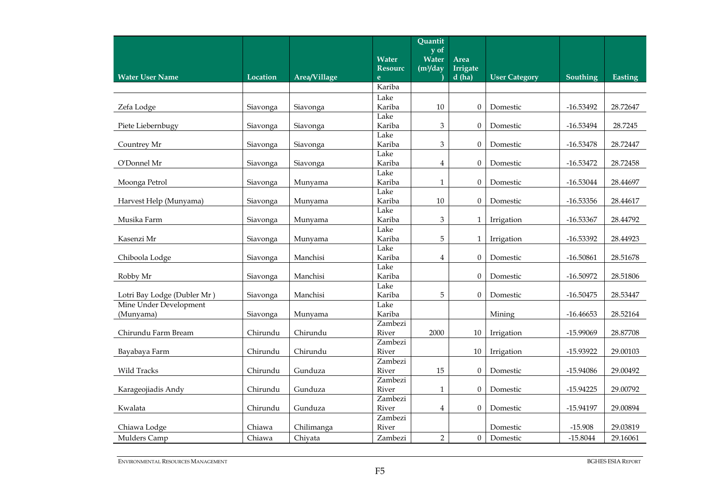|                                                       |          |              |                | Quantit                 |                  |                      |             |                |
|-------------------------------------------------------|----------|--------------|----------------|-------------------------|------------------|----------------------|-------------|----------------|
|                                                       |          |              | Water          | y of<br>Water           | <b>Area</b>      |                      |             |                |
|                                                       |          |              | <b>Resourc</b> | (m <sup>3</sup> /day    | <b>Irrigate</b>  |                      |             |                |
| <b>Water User Name</b>                                | Location | Area/Village | e.             |                         | d(ha)            | <b>User Category</b> | Southing    | <b>Easting</b> |
|                                                       |          |              | Kariba         |                         |                  |                      |             |                |
|                                                       |          |              | Lake           |                         |                  |                      |             |                |
| Zefa Lodge                                            | Siavonga | Siavonga     | Kariba         | $10\,$                  | $\overline{0}$   | Domestic             | $-16.53492$ | 28.72647       |
|                                                       |          |              | Lake           |                         |                  |                      |             |                |
| Piete Liebernbugy                                     | Siavonga | Siavonga     | Kariba         | 3                       | $\mathbf{0}$     | Domestic             | $-16.53494$ | 28.7245        |
|                                                       |          |              | Lake           |                         |                  |                      |             |                |
| Countrey Mr                                           | Siavonga | Siavonga     | Kariba         | 3                       | $\theta$         | Domestic             | $-16.53478$ | 28.72447       |
| O'Donnel Mr                                           |          |              | Lake<br>Kariba |                         |                  |                      |             |                |
|                                                       | Siavonga | Siavonga     | Lake           | $\overline{4}$          | $\overline{0}$   | Domestic             | $-16.53472$ | 28.72458       |
| Moonga Petrol                                         | Siavonga | Munyama      | Kariba         | $\mathbf{1}$            | $\boldsymbol{0}$ | Domestic             | $-16.53044$ | 28.44697       |
|                                                       |          |              | Lake           |                         |                  |                      |             |                |
| Harvest Help (Munyama)                                | Siavonga | Munyama      | Kariba         | $10\,$                  | $\overline{0}$   | Domestic             | $-16.53356$ | 28.44617       |
|                                                       |          |              | Lake           |                         |                  |                      |             |                |
| Musika Farm                                           | Siavonga | Munyama      | Kariba         | 3                       | $\mathbf{1}$     | Irrigation           | $-16.53367$ | 28.44792       |
|                                                       |          |              | Lake           |                         |                  |                      |             |                |
| Kasenzi Mr                                            | Siavonga | Munyama      | Kariba         | 5                       | $\mathbf{1}$     | Irrigation           | $-16.53392$ | 28.44923       |
|                                                       |          |              | Lake           |                         |                  |                      |             |                |
| Chiboola Lodge                                        | Siavonga | Manchisi     | Kariba         | $\overline{4}$          | $\boldsymbol{0}$ | Domestic             | $-16.50861$ | 28.51678       |
|                                                       |          |              | Lake           |                         |                  |                      |             |                |
| Robby Mr                                              | Siavonga | Manchisi     | Kariba         |                         | $\mathbf{0}$     | Domestic             | $-16.50972$ | 28.51806       |
|                                                       |          |              | Lake           |                         |                  |                      |             |                |
| Lotri Bay Lodge (Dubler Mr)<br>Mine Under Development | Siavonga | Manchisi     | Kariba<br>Lake | 5                       | $\overline{0}$   | Domestic             | $-16.50475$ | 28.53447       |
| (Munyama)                                             | Siavonga | Munyama      | Kariba         |                         |                  | Mining               | $-16.46653$ | 28.52164       |
|                                                       |          |              | Zambezi        |                         |                  |                      |             |                |
| Chirundu Farm Bream                                   | Chirundu | Chirundu     | River          | 2000                    | $10\,$           | Irrigation           | -15.99069   | 28.87708       |
|                                                       |          |              | Zambezi        |                         |                  |                      |             |                |
| Bayabaya Farm                                         | Chirundu | Chirundu     | River          |                         | $10\,$           | Irrigation           | $-15.93922$ | 29.00103       |
|                                                       |          |              | Zambezi        |                         |                  |                      |             |                |
| Wild Tracks                                           | Chirundu | Gunduza      | River          | 15                      | $\mathbf{0}$     | Domestic             | -15.94086   | 29.00492       |
|                                                       |          |              | Zambezi        |                         |                  |                      |             |                |
| Karageojiadis Andy                                    | Chirundu | Gunduza      | River          | $\mathbf{1}$            | $\overline{0}$   | Domestic             | $-15.94225$ | 29.00792       |
|                                                       |          |              | Zambezi        |                         |                  |                      |             |                |
| Kwalata                                               | Chirundu | Gunduza      | River          | $\overline{\mathbf{4}}$ | $\overline{0}$   | Domestic             | -15.94197   | 29.00894       |
|                                                       |          |              | Zambezi        |                         |                  |                      | $-15.908$   | 29.03819       |
| Chiawa Lodge                                          | Chiawa   | Chilimanga   | River          |                         |                  | Domestic             |             |                |
| Mulders Camp                                          | Chiawa   | Chiyata      | Zambezi        | $\overline{2}$          | $\mathbf{0}$     | Domestic             | $-15.8044$  | 29.16061       |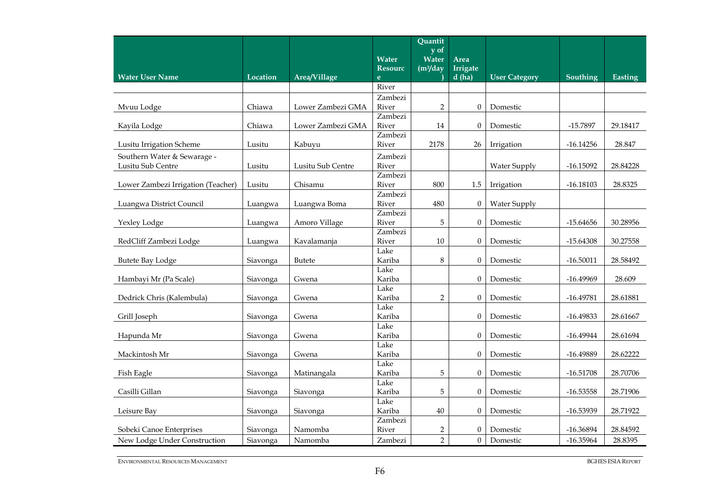|                                    |          |                   |                  | Quantit               |                          |                      |             |          |
|------------------------------------|----------|-------------------|------------------|-----------------------|--------------------------|----------------------|-------------|----------|
|                                    |          |                   | <b>Water</b>     | y of<br>Water         | <b>Area</b>              |                      |             |          |
| <b>Water User Name</b>             | Location | Area/Village      | <b>Resourc</b>   | (m <sup>3</sup> /day) | <b>Irrigate</b><br>d(ha) | <b>User Category</b> | Southing    | Easting  |
|                                    |          |                   | e.<br>River      |                       |                          |                      |             |          |
|                                    |          |                   | Zambezi          |                       |                          |                      |             |          |
| Mvuu Lodge                         | Chiawa   | Lower Zambezi GMA | River            | $\sqrt{2}$            | $\boldsymbol{0}$         | Domestic             |             |          |
|                                    |          |                   | Zambezi          |                       |                          |                      |             |          |
| Kayila Lodge                       | Chiawa   | Lower Zambezi GMA | River            | 14                    | $\overline{0}$           | Domestic             | $-15.7897$  | 29.18417 |
|                                    |          |                   | Zambezi          |                       |                          |                      |             |          |
| Lusitu Irrigation Scheme           | Lusitu   | Kabuyu            | River            | 2178                  | 26                       | Irrigation           | $-16.14256$ | 28.847   |
| Southern Water & Sewarage -        |          |                   | Zambezi          |                       |                          |                      |             |          |
| Lusitu Sub Centre                  | Lusitu   | Lusitu Sub Centre | River            |                       |                          | <b>Water Supply</b>  | $-16.15092$ | 28.84228 |
|                                    |          |                   | Zambezi          |                       |                          |                      |             |          |
| Lower Zambezi Irrigation (Teacher) | Lusitu   | Chisamu           | River<br>Zambezi | 800                   | $1.5\,$                  | Irrigation           | $-16.18103$ | 28.8325  |
| Luangwa District Council           | Luangwa  | Luangwa Boma      | River            | 480                   | $\boldsymbol{0}$         | <b>Water Supply</b>  |             |          |
|                                    |          |                   | Zambezi          |                       |                          |                      |             |          |
| Yexley Lodge                       | Luangwa  | Amoro Village     | River            | 5                     | $\overline{0}$           | Domestic             | $-15.64656$ | 30.28956 |
|                                    |          |                   | Zambezi          |                       |                          |                      |             |          |
| RedCliff Zambezi Lodge             | Luangwa  | Kavalamanja       | River            | 10                    | $\overline{0}$           | Domestic             | $-15.64308$ | 30.27558 |
|                                    |          |                   | Lake             |                       |                          |                      |             |          |
| <b>Butete Bay Lodge</b>            | Siavonga | Butete            | Kariba           | $8\,$                 | $\boldsymbol{0}$         | Domestic             | $-16.50011$ | 28.58492 |
|                                    |          |                   | Lake             |                       |                          |                      |             |          |
| Hambayi Mr (Pa Scale)              | Siavonga | Gwena             | Kariba<br>Lake   |                       | $\boldsymbol{0}$         | Domestic             | $-16.49969$ | 28.609   |
| Dedrick Chris (Kalembula)          | Siavonga | Gwena             | Kariba           | $\overline{2}$        | $\theta$                 | Domestic             | $-16.49781$ | 28.61881 |
|                                    |          |                   | Lake             |                       |                          |                      |             |          |
| Grill Joseph                       | Siavonga | Gwena             | Kariba           |                       | $\overline{0}$           | Domestic             | -16.49833   | 28.61667 |
|                                    |          |                   | Lake             |                       |                          |                      |             |          |
| Hapunda Mr                         | Siavonga | Gwena             | Kariba           |                       | $\boldsymbol{0}$         | Domestic             | $-16.49944$ | 28.61694 |
|                                    |          |                   | Lake             |                       |                          |                      |             |          |
| Mackintosh Mr                      | Siavonga | Gwena             | Kariba           |                       | $\boldsymbol{0}$         | Domestic             | $-16.49889$ | 28.62222 |
|                                    |          |                   | Lake             |                       |                          |                      |             |          |
| Fish Eagle                         | Siavonga | Matinangala       | Kariba<br>Lake   | 5                     | $\overline{0}$           | Domestic             | $-16.51708$ | 28.70706 |
| Casilli Gillan                     | Siavonga | Siavonga          | Kariba           | 5                     | $\theta$                 | Domestic             | $-16.53558$ | 28.71906 |
|                                    |          |                   | Lake             |                       |                          |                      |             |          |
| Leisure Bay                        | Siavonga | Siavonga          | Kariba           | 40                    | $\boldsymbol{0}$         | Domestic             | -16.53939   | 28.71922 |
|                                    |          |                   | Zambezi          |                       |                          |                      |             |          |
| Sobeki Canoe Enterprises           | Siavonga | Namomba           | River            | 2                     | $\Omega$                 | Domestic             | $-16.36894$ | 28.84592 |
| New Lodge Under Construction       | Siavonga | Namomba           | Zambezi          | $\overline{2}$        | $\overline{0}$           | Domestic             | $-16.35964$ | 28.8395  |

ENVIRONMENTAL RESOURCES MANAGEMENT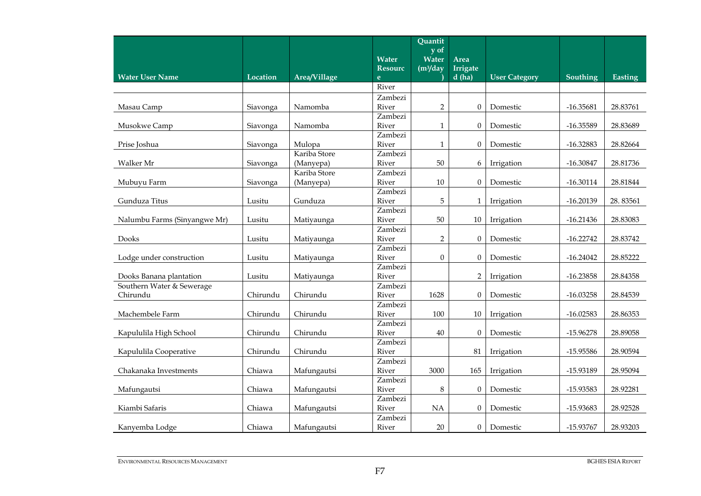|                              |          |              |                      | Quantit               |                          |                      |             |          |
|------------------------------|----------|--------------|----------------------|-----------------------|--------------------------|----------------------|-------------|----------|
|                              |          |              |                      | y of                  |                          |                      |             |          |
|                              |          |              | Water                | Water                 | <b>Area</b>              |                      |             |          |
| <b>Water User Name</b>       | Location | Area/Village | <b>Resourc</b><br>e. | (m <sup>3</sup> /day) | <b>Irrigate</b><br>d(ha) | <b>User Category</b> | Southing    | Easting  |
|                              |          |              | River                |                       |                          |                      |             |          |
|                              |          |              | Zambezi              |                       |                          |                      |             |          |
| Masau Camp                   | Siavonga | Namomba      | River                | $\overline{c}$        | $\overline{0}$           | Domestic             | $-16.35681$ | 28.83761 |
|                              |          |              | Zambezi              |                       |                          |                      |             |          |
| Musokwe Camp                 | Siavonga | Namomba      | River                | $\mathbf 1$           | $\boldsymbol{0}$         | Domestic             | $-16.35589$ | 28.83689 |
|                              |          |              | Zambezi              |                       |                          |                      |             |          |
| Prise Joshua                 | Siavonga | Mulopa       | River                | $\mathbf{1}$          | $\theta$                 | Domestic             | $-16.32883$ | 28.82664 |
|                              |          | Kariba Store | Zambezi              |                       |                          |                      |             |          |
| Walker Mr                    | Siavonga | (Manyepa)    | River                | 50                    | 6                        | Irrigation           | $-16.30847$ | 28.81736 |
|                              |          | Kariba Store | Zambezi              |                       |                          |                      |             |          |
| Mubuyu Farm                  | Siavonga | (Manyepa)    | River                | 10                    | $\boldsymbol{0}$         | Domestic             | $-16.30114$ | 28.81844 |
|                              |          |              | Zambezi              |                       |                          |                      |             |          |
| Gunduza Titus                | Lusitu   | Gunduza      | River                | 5                     | $\mathbf{1}$             | Irrigation           | $-16.20139$ | 28.83561 |
|                              |          |              | Zambezi              |                       |                          |                      |             |          |
| Nalumbu Farms (Sinyangwe Mr) | Lusitu   | Matiyaunga   | River                | 50                    | 10                       | Irrigation           | $-16.21436$ | 28.83083 |
|                              |          |              | Zambezi              |                       |                          |                      |             |          |
| Dooks                        | Lusitu   | Matiyaunga   | River                | $\overline{2}$        | $\mathbf{0}$             | Domestic             | $-16.22742$ | 28.83742 |
|                              |          |              | Zambezi<br>River     |                       |                          |                      |             | 28.85222 |
| Lodge under construction     | Lusitu   | Matiyaunga   | Zambezi              | $\boldsymbol{0}$      | $\boldsymbol{0}$         | Domestic             | $-16.24042$ |          |
| Dooks Banana plantation      | Lusitu   |              | River                |                       | $\overline{2}$           | Irrigation           |             | 28.84358 |
| Southern Water & Sewerage    |          | Matiyaunga   | Zambezi              |                       |                          |                      | $-16.23858$ |          |
| Chirundu                     | Chirundu | Chirundu     | River                | 1628                  | $\boldsymbol{0}$         | Domestic             | $-16.03258$ | 28.84539 |
|                              |          |              | Zambezi              |                       |                          |                      |             |          |
| Machembele Farm              | Chirundu | Chirundu     | River                | 100                   | 10                       | Irrigation           | $-16.02583$ | 28.86353 |
|                              |          |              | Zambezi              |                       |                          |                      |             |          |
| Kapululila High School       | Chirundu | Chirundu     | River                | 40                    | $\boldsymbol{0}$         | Domestic             | $-15.96278$ | 28.89058 |
|                              |          |              | Zambezi              |                       |                          |                      |             |          |
| Kapululila Cooperative       | Chirundu | Chirundu     | River                |                       | 81                       | Irrigation           | $-15.95586$ | 28.90594 |
|                              |          |              | Zambezi              |                       |                          |                      |             |          |
| Chakanaka Investments        | Chiawa   | Mafungautsi  | River                | 3000                  | 165                      | Irrigation           | -15.93189   | 28.95094 |
|                              |          |              | Zambezi              |                       |                          |                      |             |          |
| Mafungautsi                  | Chiawa   | Mafungautsi  | River                | 8                     | $\theta$                 | Domestic             | -15.93583   | 28.92281 |
|                              |          |              | Zambezi              |                       |                          |                      |             |          |
| Kiambi Safaris               | Chiawa   | Mafungautsi  | River                | NA                    | $\boldsymbol{0}$         | Domestic             | -15.93683   | 28.92528 |
|                              |          |              | Zambezi              |                       |                          |                      |             |          |
| Kanyemba Lodge               | Chiawa   | Mafungautsi  | River                | 20                    | $\overline{0}$           | Domestic             | -15.93767   | 28.93203 |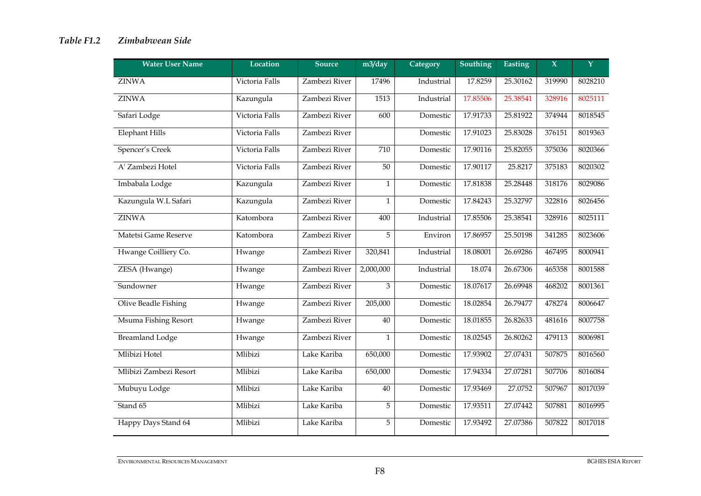#### *Table F1.2 Zimbabwean Side*

| <b>Water User Name</b> | <b>Location</b> | <b>Source</b> | m3/day       | Category   | Southing | <b>Easting</b> | $\boldsymbol{\chi}$ | $\mathbf Y$ |
|------------------------|-----------------|---------------|--------------|------------|----------|----------------|---------------------|-------------|
| <b>ZINWA</b>           | Victoria Falls  | Zambezi River | 17496        | Industrial | 17.8259  | 25.30162       | 319990              | 8028210     |
| <b>ZINWA</b>           | Kazungula       | Zambezi River | 1513         | Industrial | 17.85506 | 25.38541       | 328916              | 8025111     |
| Safari Lodge           | Victoria Falls  | Zambezi River | 600          | Domestic   | 17.91733 | 25.81922       | 374944              | 8018545     |
| Elephant Hills         | Victoria Falls  | Zambezi River |              | Domestic   | 17.91023 | 25.83028       | 376151              | 8019363     |
| <b>Spencer's Creek</b> | Victoria Falls  | Zambezi River | 710          | Domestic   | 17.90116 | 25.82055       | 375036              | 8020366     |
| A' Zambezi Hotel       | Victoria Falls  | Zambezi River | 50           | Domestic   | 17.90117 | 25.8217        | 375183              | 8020302     |
| Imbabala Lodge         | Kazungula       | Zambezi River | $\mathbf{1}$ | Domestic   | 17.81838 | 25.28448       | 318176              | 8029086     |
| Kazungula W.L Safari   | Kazungula       | Zambezi River | $\mathbf{1}$ | Domestic   | 17.84243 | 25.32797       | 322816              | 8026456     |
| <b>ZINWA</b>           | Katombora       | Zambezi River | 400          | Industrial | 17.85506 | 25.38541       | 328916              | 8025111     |
| Matetsi Game Reserve   | Katombora       | Zambezi River | 5            | Environ    | 17.86957 | 25.50198       | 341285              | 8023606     |
| Hwange Coilliery Co.   | Hwange          | Zambezi River | 320,841      | Industrial | 18.08001 | 26.69286       | 467495              | 8000941     |
| ZESA (Hwange)          | Hwange          | Zambezi River | 2,000,000    | Industrial | 18.074   | 26.67306       | 465358              | 8001588     |
| Sundowner              | Hwange          | Zambezi River | 3            | Domestic   | 18.07617 | 26.69948       | 468202              | 8001361     |
| Olive Beadle Fishing   | Hwange          | Zambezi River | 205,000      | Domestic   | 18.02854 | 26.79477       | 478274              | 8006647     |
| Msuma Fishing Resort   | Hwange          | Zambezi River | 40           | Domestic   | 18.01855 | 26.82633       | 481616              | 8007758     |
| <b>Breamland Lodge</b> | Hwange          | Zambezi River | $\mathbf{1}$ | Domestic   | 18.02545 | 26.80262       | 479113              | 8006981     |
| Mlibizi Hotel          | Mlibizi         | Lake Kariba   | 650,000      | Domestic   | 17.93902 | 27.07431       | 507875              | 8016560     |
| Mlibizi Zambezi Resort | Mlibizi         | Lake Kariba   | 650,000      | Domestic   | 17.94334 | 27.07281       | 507706              | 8016084     |
| Mubuyu Lodge           | Mlibizi         | Lake Kariba   | 40           | Domestic   | 17.93469 | 27.0752        | 507967              | 8017039     |
| Stand 65               | Mlibizi         | Lake Kariba   | 5            | Domestic   | 17.93511 | 27.07442       | 507881              | 8016995     |
| Happy Days Stand 64    | Mlibizi         | Lake Kariba   | 5            | Domestic   | 17.93492 | 27.07386       | 507822              | 8017018     |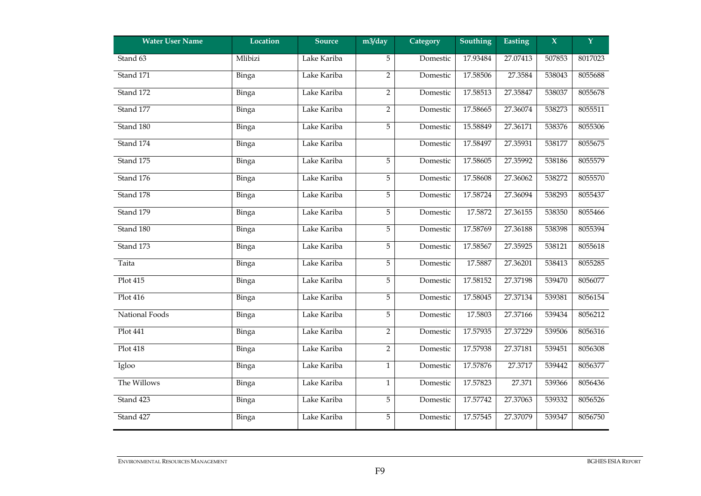| <b>Water User Name</b> | <b>Location</b> | Source      | m3/day         | Category | <b>Southing</b> | <b>Easting</b> | $\mathbf x$ | $\overline{Y}$ |
|------------------------|-----------------|-------------|----------------|----------|-----------------|----------------|-------------|----------------|
| Stand 63               | Mlibizi         | Lake Kariba | 5              | Domestic | 17.93484        | 27.07413       | 507853      | 8017023        |
| Stand 171              | Binga           | Lake Kariba | $\overline{2}$ | Domestic | 17.58506        | 27.3584        | 538043      | 8055688        |
| Stand 172              | Binga           | Lake Kariba | $\overline{2}$ | Domestic | 17.58513        | 27.35847       | 538037      | 8055678        |
| Stand 177              | Binga           | Lake Kariba | $\overline{2}$ | Domestic | 17.58665        | 27.36074       | 538273      | 8055511        |
| Stand 180              | Binga           | Lake Kariba | 5              | Domestic | 15.58849        | 27.36171       | 538376      | 8055306        |
| Stand 174              | Binga           | Lake Kariba |                | Domestic | 17.58497        | 27.35931       | 538177      | 8055675        |
| Stand 175              | Binga           | Lake Kariba | 5              | Domestic | 17.58605        | 27.35992       | 538186      | 8055579        |
| Stand 176              | Binga           | Lake Kariba | 5              | Domestic | 17.58608        | 27.36062       | 538272      | 8055570        |
| Stand 178              | Binga           | Lake Kariba | 5              | Domestic | 17.58724        | 27.36094       | 538293      | 8055437        |
| Stand 179              | Binga           | Lake Kariba | 5              | Domestic | 17.5872         | 27.36155       | 538350      | 8055466        |
| Stand 180              | Binga           | Lake Kariba | 5              | Domestic | 17.58769        | 27.36188       | 538398      | 8055394        |
| Stand 173              | Binga           | Lake Kariba | 5              | Domestic | 17.58567        | 27.35925       | 538121      | 8055618        |
| Taita                  | Binga           | Lake Kariba | 5              | Domestic | 17.5887         | 27.36201       | 538413      | 8055285        |
| Plot 415               | Binga           | Lake Kariba | 5              | Domestic | 17.58152        | 27.37198       | 539470      | 8056077        |
| Plot 416               | Binga           | Lake Kariba | 5              | Domestic | 17.58045        | 27.37134       | 539381      | 8056154        |
| National Foods         | Binga           | Lake Kariba | 5              | Domestic | 17.5803         | 27.37166       | 539434      | 8056212        |
| Plot 441               | Binga           | Lake Kariba | $\overline{2}$ | Domestic | 17.57935        | 27.37229       | 539506      | 8056316        |
| <b>Plot 418</b>        | Binga           | Lake Kariba | $\overline{2}$ | Domestic | 17.57938        | 27.37181       | 539451      | 8056308        |
| Igloo                  | Binga           | Lake Kariba | $\mathbf{1}$   | Domestic | 17.57876        | 27.3717        | 539442      | 8056377        |
| The Willows            | Binga           | Lake Kariba | $\mathbf{1}$   | Domestic | 17.57823        | 27.371         | 539366      | 8056436        |
| Stand 423              | Binga           | Lake Kariba | 5              | Domestic | 17.57742        | 27.37063       | 539332      | 8056526        |
| Stand 427              | Binga           | Lake Kariba | 5              | Domestic | 17.57545        | 27.37079       | 539347      | 8056750        |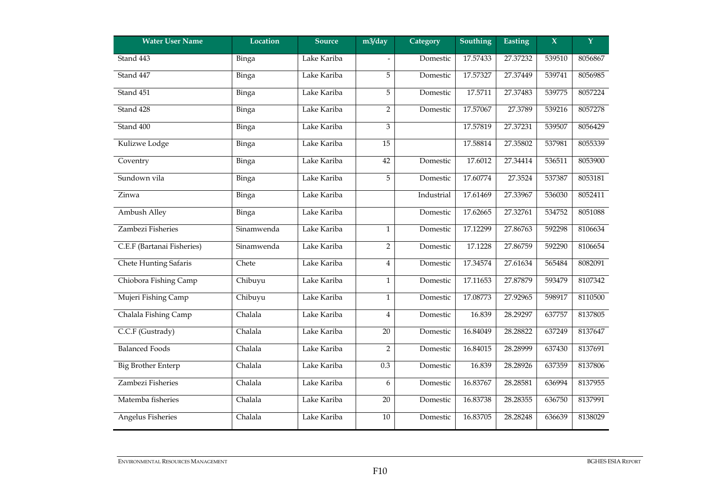| <b>Water User Name</b>     | Location   | Source      | m3/day         | <b>Category</b> | Southing | <b>Easting</b> | $\mathbf x$ | $\mathbf Y$ |
|----------------------------|------------|-------------|----------------|-----------------|----------|----------------|-------------|-------------|
| Stand 443                  | Binga      | Lake Kariba |                | Domestic        | 17.57433 | 27.37232       | 539510      | 8056867     |
| Stand 447                  | Binga      | Lake Kariba | 5              | Domestic        | 17.57327 | 27.37449       | 539741      | 8056985     |
| Stand 451                  | Binga      | Lake Kariba | 5              | Domestic        | 17.5711  | 27.37483       | 539775      | 8057224     |
| Stand 428                  | Binga      | Lake Kariba | $\overline{2}$ | Domestic        | 17.57067 | 27.3789        | 539216      | 8057278     |
| Stand 400                  | Binga      | Lake Kariba | $\mathfrak{Z}$ |                 | 17.57819 | 27.37231       | 539507      | 8056429     |
| Kulizwe Lodge              | Binga      | Lake Kariba | 15             |                 | 17.58814 | 27.35802       | 537981      | 8055339     |
| Coventry                   | Binga      | Lake Kariba | 42             | Domestic        | 17.6012  | 27.34414       | 536511      | 8053900     |
| Sundown vila               | Binga      | Lake Kariba | 5              | Domestic        | 17.60774 | 27.3524        | 537387      | 8053181     |
| Zinwa                      | Binga      | Lake Kariba |                | Industrial      | 17.61469 | 27.33967       | 536030      | 8052411     |
| Ambush Alley               | Binga      | Lake Kariba |                | Domestic        | 17.62665 | 27.32761       | 534752      | 8051088     |
| Zambezi Fisheries          | Sinamwenda | Lake Kariba | $\mathbf{1}$   | Domestic        | 17.12299 | 27.86763       | 592298      | 8106634     |
| C.E.F (Bartanai Fisheries) | Sinamwenda | Lake Kariba | $\overline{2}$ | Domestic        | 17.1228  | 27.86759       | 592290      | 8106654     |
| Chete Hunting Safaris      | Chete      | Lake Kariba | $\overline{4}$ | Domestic        | 17.34574 | 27.61634       | 565484      | 8082091     |
| Chiobora Fishing Camp      | Chibuyu    | Lake Kariba | $\mathbf{1}$   | Domestic        | 17.11653 | 27.87879       | 593479      | 8107342     |
| Mujeri Fishing Camp        | Chibuyu    | Lake Kariba | $\mathbf{1}$   | Domestic        | 17.08773 | 27.92965       | 598917      | 8110500     |
| Chalala Fishing Camp       | Chalala    | Lake Kariba | $\overline{4}$ | Domestic        | 16.839   | 28.29297       | 637757      | 8137805     |
| C.C.F (Gustrady)           | Chalala    | Lake Kariba | 20             | Domestic        | 16.84049 | 28.28822       | 637249      | 8137647     |
| <b>Balanced Foods</b>      | Chalala    | Lake Kariba | $\overline{2}$ | Domestic        | 16.84015 | 28.28999       | 637430      | 8137691     |
| Big Brother Enterp         | Chalala    | Lake Kariba | 0.3            | Domestic        | 16.839   | 28.28926       | 637359      | 8137806     |
| Zambezi Fisheries          | Chalala    | Lake Kariba | 6              | Domestic        | 16.83767 | 28.28581       | 636994      | 8137955     |
| Matemba fisheries          | Chalala    | Lake Kariba | 20             | Domestic        | 16.83738 | 28.28355       | 636750      | 8137991     |
| Angelus Fisheries          | Chalala    | Lake Kariba | 10             | Domestic        | 16.83705 | 28.28248       | 636639      | 8138029     |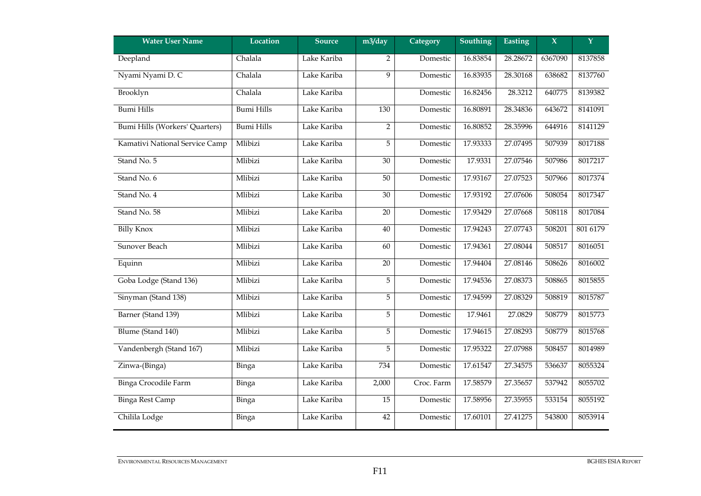| <b>Water User Name</b>         | Location          | <b>Source</b> | m3/day         | <b>Category</b> | Southing | <b>Easting</b> | $\overline{\mathbf{X}}$ | $\overline{\mathbf{Y}}$ |
|--------------------------------|-------------------|---------------|----------------|-----------------|----------|----------------|-------------------------|-------------------------|
| Deepland                       | Chalala           | Lake Kariba   | $\overline{2}$ | Domestic        | 16.83854 | 28.28672       | 6367090                 | 8137858                 |
| Nyami Nyami D. C               | Chalala           | Lake Kariba   | 9              | Domestic        | 16.83935 | 28.30168       | 638682                  | 8137760                 |
| Brooklyn                       | Chalala           | Lake Kariba   |                | Domestic        | 16.82456 | 28.3212        | 640775                  | 8139382                 |
| <b>Bumi Hills</b>              | <b>Bumi Hills</b> | Lake Kariba   | 130            | Domestic        | 16.80891 | 28.34836       | 643672                  | 8141091                 |
| Bumi Hills (Workers' Quarters) | <b>Bumi Hills</b> | Lake Kariba   | $\overline{2}$ | Domestic        | 16.80852 | 28.35996       | 644916                  | 8141129                 |
| Kamativi National Service Camp | Mlibizi           | Lake Kariba   | 5              | Domestic        | 17.93333 | 27.07495       | 507939                  | 8017188                 |
| Stand No. 5                    | Mlibizi           | Lake Kariba   | 30             | Domestic        | 17.9331  | 27.07546       | 507986                  | 8017217                 |
| Stand No. 6                    | Mlibizi           | Lake Kariba   | 50             | Domestic        | 17.93167 | 27.07523       | 507966                  | 8017374                 |
| Stand No. 4                    | Mlibizi           | Lake Kariba   | 30             | Domestic        | 17.93192 | 27.07606       | 508054                  | 8017347                 |
| Stand No. 58                   | Mlibizi           | Lake Kariba   | 20             | Domestic        | 17.93429 | 27.07668       | 508118                  | 8017084                 |
| <b>Billy Knox</b>              | Mlibizi           | Lake Kariba   | 40             | Domestic        | 17.94243 | 27.07743       | 508201                  | 801 6179                |
| Sunover Beach                  | Mlibizi           | Lake Kariba   | 60             | Domestic        | 17.94361 | 27.08044       | 508517                  | 8016051                 |
| Equinn                         | Mlibizi           | Lake Kariba   | 20             | Domestic        | 17.94404 | 27.08146       | 508626                  | 8016002                 |
| Goba Lodge (Stand 136)         | Mlibizi           | Lake Kariba   | $\sqrt{5}$     | Domestic        | 17.94536 | 27.08373       | 508865                  | 8015855                 |
| Sinyman (Stand 138)            | Mlibizi           | Lake Kariba   | 5              | Domestic        | 17.94599 | 27.08329       | 508819                  | 8015787                 |
| Barner (Stand 139)             | Mlibizi           | Lake Kariba   | $\sqrt{5}$     | Domestic        | 17.9461  | 27.0829        | 508779                  | 8015773                 |
| Blume (Stand 140)              | Mlibizi           | Lake Kariba   | 5              | Domestic        | 17.94615 | 27.08293       | 508779                  | 8015768                 |
| Vandenbergh (Stand 167)        | Mlibizi           | Lake Kariba   | 5              | Domestic        | 17.95322 | 27.07988       | 508457                  | 8014989                 |
| Zinwa-(Binga)                  | Binga             | Lake Kariba   | 734            | Domestic        | 17.61547 | 27.34575       | 536637                  | 8055324                 |
| Binga Crocodile Farm           | Binga             | Lake Kariba   | 2,000          | Croc. Farm      | 17.58579 | 27.35657       | 537942                  | 8055702                 |
| <b>Binga Rest Camp</b>         | Binga             | Lake Kariba   | 15             | Domestic        | 17.58956 | 27.35955       | 533154                  | 8055192                 |
| Chilila Lodge                  | Binga             | Lake Kariba   | 42             | Domestic        | 17.60101 | 27.41275       | 543800                  | 8053914                 |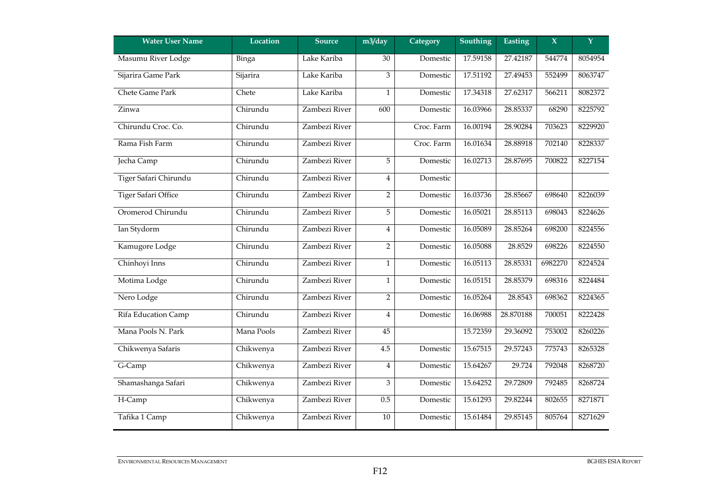| <b>Water User Name</b> | Location   | Source        | m3/day         | Category   | Southing | <b>Easting</b> | $\mathbf x$ | $\overline{\mathbf{Y}}$ |
|------------------------|------------|---------------|----------------|------------|----------|----------------|-------------|-------------------------|
| Masumu River Lodge     | Binga      | Lake Kariba   | 30             | Domestic   | 17.59158 | 27.42187       | 544774      | 8054954                 |
| Sijarira Game Park     | Sijarira   | Lake Kariba   | 3              | Domestic   | 17.51192 | 27.49453       | 552499      | 8063747                 |
| Chete Game Park        | Chete      | Lake Kariba   | $\mathbf{1}$   | Domestic   | 17.34318 | 27.62317       | 566211      | 8082372                 |
| Zinwa                  | Chirundu   | Zambezi River | 600            | Domestic   | 16.03966 | 28.85337       | 68290       | 8225792                 |
| Chirundu Croc. Co.     | Chirundu   | Zambezi River |                | Croc. Farm | 16.00194 | 28.90284       | 703623      | 8229920                 |
| Rama Fish Farm         | Chirundu   | Zambezi River |                | Croc. Farm | 16.01634 | 28.88918       | 702140      | 8228337                 |
| Jecha Camp             | Chirundu   | Zambezi River | 5              | Domestic   | 16.02713 | 28.87695       | 700822      | 8227154                 |
| Tiger Safari Chirundu  | Chirundu   | Zambezi River | $\overline{4}$ | Domestic   |          |                |             |                         |
| Tiger Safari Office    | Chirundu   | Zambezi River | $\sqrt{2}$     | Domestic   | 16.03736 | 28.85667       | 698640      | 8226039                 |
| Oromerod Chirundu      | Chirundu   | Zambezi River | 5              | Domestic   | 16.05021 | 28.85113       | 698043      | 8224626                 |
| Ian Stydorm            | Chirundu   | Zambezi River | $\overline{4}$ | Domestic   | 16.05089 | 28.85264       | 698200      | 8224556                 |
| Kamugore Lodge         | Chirundu   | Zambezi River | $\overline{2}$ | Domestic   | 16.05088 | 28.8529        | 698226      | 8224550                 |
| Chinhoyi Inns          | Chirundu   | Zambezi River | $\mathbf{1}$   | Domestic   | 16.05113 | 28.85331       | 6982270     | 8224524                 |
| Motima Lodge           | Chirundu   | Zambezi River | $\mathbf{1}$   | Domestic   | 16.05151 | 28.85379       | 698316      | 8224484                 |
| Nero Lodge             | Chirundu   | Zambezi River | $\overline{2}$ | Domestic   | 16.05264 | 28.8543        | 698362      | 8224365                 |
| Rifa Education Camp    | Chirundu   | Zambezi River | $\overline{4}$ | Domestic   | 16.06988 | 28.870188      | 700051      | 8222428                 |
| Mana Pools N. Park     | Mana Pools | Zambezi River | 45             |            | 15.72359 | 29.36092       | 753002      | 8260226                 |
| Chikwenya Safaris      | Chikwenya  | Zambezi River | 4.5            | Domestic   | 15.67515 | 29.57243       | 775743      | 8265328                 |
| G-Camp                 | Chikwenya  | Zambezi River | $\bf 4$        | Domestic   | 15.64267 | 29.724         | 792048      | 8268720                 |
| Shamashanga Safari     | Chikwenya  | Zambezi River | $\mathfrak{Z}$ | Domestic   | 15.64252 | 29.72809       | 792485      | 8268724                 |
| H-Camp                 | Chikwenya  | Zambezi River | 0.5            | Domestic   | 15.61293 | 29.82244       | 802655      | 8271871                 |
| Tafika 1 Camp          | Chikwenya  | Zambezi River | $10\,$         | Domestic   | 15.61484 | 29.85145       | 805764      | 8271629                 |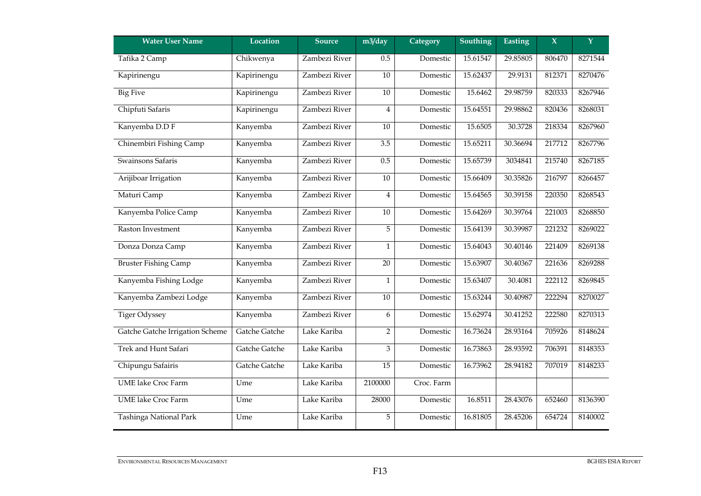| <b>Water User Name</b>          | Location      | <b>Source</b> | m3/day         | Category   | Southing | <b>Easting</b> | $\overline{\mathbf{x}}$ | $\mathbf Y$ |
|---------------------------------|---------------|---------------|----------------|------------|----------|----------------|-------------------------|-------------|
| Tafika 2 Camp                   | Chikwenya     | Zambezi River | $0.5\,$        | Domestic   | 15.61547 | 29.85805       | 806470                  | 8271544     |
| Kapirinengu                     | Kapirinengu   | Zambezi River | $10\,$         | Domestic   | 15.62437 | 29.9131        | 812371                  | 8270476     |
| <b>Big Five</b>                 | Kapirinengu   | Zambezi River | 10             | Domestic   | 15.6462  | 29.98759       | 820333                  | 8267946     |
| Chipfuti Safaris                | Kapirinengu   | Zambezi River | $\overline{4}$ | Domestic   | 15.64551 | 29.98862       | 820436                  | 8268031     |
| Kanyemba D.D F                  | Kanyemba      | Zambezi River | 10             | Domestic   | 15.6505  | 30.3728        | 218334                  | 8267960     |
| Chinembiri Fishing Camp         | Kanyemba      | Zambezi River | 3.5            | Domestic   | 15.65211 | 30.36694       | 217712                  | 8267796     |
| Swainsons Safaris               | Kanyemba      | Zambezi River | 0.5            | Domestic   | 15.65739 | 3034841        | 215740                  | 8267185     |
| Arijiboar Irrigation            | Kanyemba      | Zambezi River | 10             | Domestic   | 15.66409 | 30.35826       | 216797                  | 8266457     |
| Maturi Camp                     | Kanyemba      | Zambezi River | $\overline{4}$ | Domestic   | 15.64565 | 30.39158       | 220350                  | 8268543     |
| Kanyemba Police Camp            | Kanyemba      | Zambezi River | $10\,$         | Domestic   | 15.64269 | 30.39764       | 221003                  | 8268850     |
| Raston Investment               | Kanyemba      | Zambezi River | 5              | Domestic   | 15.64139 | 30.39987       | 221232                  | 8269022     |
| Donza Donza Camp                | Kanyemba      | Zambezi River | $\mathbf{1}$   | Domestic   | 15.64043 | 30.40146       | 221409                  | 8269138     |
| <b>Bruster Fishing Camp</b>     | Kanyemba      | Zambezi River | 20             | Domestic   | 15.63907 | 30.40367       | 221636                  | 8269288     |
| Kanyemba Fishing Lodge          | Kanyemba      | Zambezi River | $\mathbf{1}$   | Domestic   | 15.63407 | 30.4081        | 222112                  | 8269845     |
| Kanyemba Zambezi Lodge          | Kanyemba      | Zambezi River | 10             | Domestic   | 15.63244 | 30.40987       | 222294                  | 8270027     |
| <b>Tiger Odyssey</b>            | Kanyemba      | Zambezi River | 6              | Domestic   | 15.62974 | 30.41252       | 222580                  | 8270313     |
| Gatche Gatche Irrigation Scheme | Gatche Gatche | Lake Kariba   | $\overline{2}$ | Domestic   | 16.73624 | 28.93164       | 705926                  | 8148624     |
| Trek and Hunt Safari            | Gatche Gatche | Lake Kariba   | $\mathfrak{Z}$ | Domestic   | 16.73863 | 28.93592       | 706391                  | 8148353     |
| Chipungu Safairis               | Gatche Gatche | Lake Kariba   | 15             | Domestic   | 16.73962 | 28.94182       | 707019                  | 8148233     |
| <b>UME</b> lake Croc Farm       | Ume           | Lake Kariba   | 2100000        | Croc. Farm |          |                |                         |             |
| <b>UME</b> lake Croc Farm       | Ume           | Lake Kariba   | 28000          | Domestic   | 16.8511  | 28.43076       | 652460                  | 8136390     |
| Tashinga National Park          | Ume           | Lake Kariba   | 5              | Domestic   | 16.81805 | 28.45206       | 654724                  | 8140002     |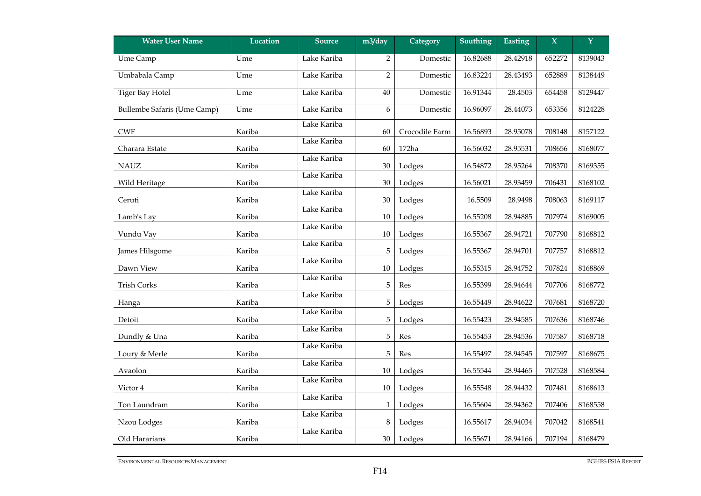| <b>Water User Name</b>             | <b>Location</b> | <b>Source</b> | m3/day         | Category       | <b>Southing</b> | <b>Easting</b> | $\overline{\mathbf{x}}$ | $\overline{\mathbf{Y}}$ |
|------------------------------------|-----------------|---------------|----------------|----------------|-----------------|----------------|-------------------------|-------------------------|
| Ume Camp                           | Ume             | Lake Kariba   | $\overline{2}$ | Domestic       | 16.82688        | 28.42918       | 652272                  | 8139043                 |
| Umbabala Camp                      | Ume             | Lake Kariba   | $\overline{2}$ | Domestic       | 16.83224        | 28.43493       | 652889                  | 8138449                 |
| <b>Tiger Bay Hotel</b>             | Ume             | Lake Kariba   | 40             | Domestic       | 16.91344        | 28.4503        | 654458                  | 8129447                 |
| <b>Bullembe Safaris (Ume Camp)</b> | Ume             | Lake Kariba   | 6              | Domestic       | 16.96097        | 28.44073       | 653356                  | 8124228                 |
| CWF                                | Kariba          | Lake Kariba   | 60             | Crocodile Farm | 16.56893        | 28.95078       | 708148                  | 8157122                 |
| Charara Estate                     | Kariba          | Lake Kariba   | 60             | 172ha          | 16.56032        | 28.95531       | 708656                  | 8168077                 |
| <b>NAUZ</b>                        | Kariba          | Lake Kariba   | 30             | Lodges         | 16.54872        | 28.95264       | 708370                  | 8169355                 |
| Wild Heritage                      | Kariba          | Lake Kariba   | 30             | Lodges         | 16.56021        | 28.93459       | 706431                  | 8168102                 |
| Ceruti                             | Kariba          | Lake Kariba   | 30             | Lodges         | 16.5509         | 28.9498        | 708063                  | 8169117                 |
| Lamb's Lay                         | Kariba          | Lake Kariba   | 10             | Lodges         | 16.55208        | 28.94885       | 707974                  | 8169005                 |
| Vundu Vay                          | Kariba          | Lake Kariba   | $10\,$         | Lodges         | 16.55367        | 28.94721       | 707790                  | 8168812                 |
| James Hilsgome                     | Kariba          | Lake Kariba   | 5              | Lodges         | 16.55367        | 28.94701       | 707757                  | 8168812                 |
| Dawn View                          | Kariba          | Lake Kariba   | $10\,$         | Lodges         | 16.55315        | 28.94752       | 707824                  | 8168869                 |
| <b>Trish Corks</b>                 | Kariba          | Lake Kariba   | 5              | Res            | 16.55399        | 28.94644       | 707706                  | 8168772                 |
| Hanga                              | Kariba          | Lake Kariba   | 5              | Lodges         | 16.55449        | 28.94622       | 707681                  | 8168720                 |
| Detoit                             | Kariba          | Lake Kariba   | 5              | Lodges         | 16.55423        | 28.94585       | 707636                  | 8168746                 |
| Dundly & Una                       | Kariba          | Lake Kariba   | 5              | Res            | 16.55453        | 28.94536       | 707587                  | 8168718                 |
| Loury & Merle                      | Kariba          | Lake Kariba   | 5              | Res            | 16.55497        | 28.94545       | 707597                  | 8168675                 |
| Avaolon                            | Kariba          | Lake Kariba   | $10\,$         | Lodges         | 16.55544        | 28.94465       | 707528                  | 8168584                 |
| Victor 4                           | Kariba          | Lake Kariba   | 10             | Lodges         | 16.55548        | 28.94432       | 707481                  | 8168613                 |
| Ton Laundram                       | Kariba          | Lake Kariba   | 1              | Lodges         | 16.55604        | 28.94362       | 707406                  | 8168558                 |
| Nzou Lodges                        | Kariba          | Lake Kariba   | $\,8\,$        | Lodges         | 16.55617        | 28.94034       | 707042                  | 8168541                 |
| Old Hararians                      | Kariba          | Lake Kariba   | 30             | Lodges         | 16.55671        | 28.94166       | 707194                  | 8168479                 |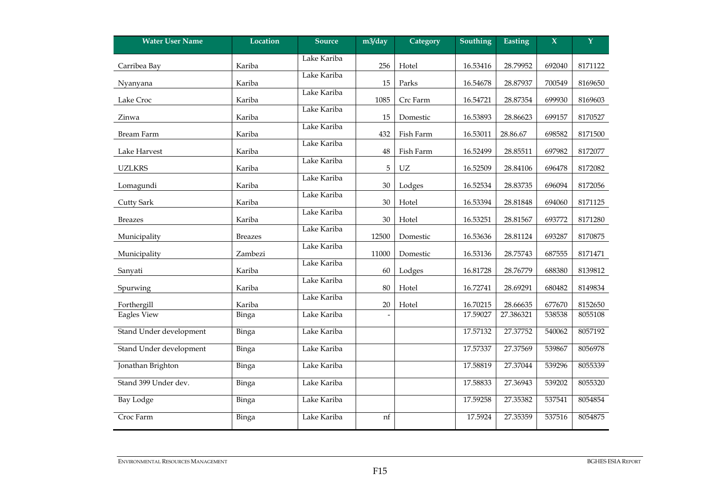| <b>Water User Name</b>  | Location       | Source      | m3/day | Category  | <b>Southing</b> | <b>Easting</b> | $\mathbf x$ | $\overline{\mathbf{Y}}$ |
|-------------------------|----------------|-------------|--------|-----------|-----------------|----------------|-------------|-------------------------|
| Carribea Bay            | Kariba         | Lake Kariba | 256    | Hotel     | 16.53416        | 28.79952       | 692040      | 8171122                 |
|                         |                | Lake Kariba |        |           |                 |                |             |                         |
| Nyanyana                | Kariba         | Lake Kariba | 15     | Parks     | 16.54678        | 28.87937       | 700549      | 8169650                 |
| Lake Croc               | Kariba         |             | 1085   | Crc Farm  | 16.54721        | 28.87354       | 699930      | 8169603                 |
| Zinwa                   | Kariba         | Lake Kariba | 15     | Domestic  | 16.53893        | 28.86623       | 699157      | 8170527                 |
| <b>Bream Farm</b>       | Kariba         | Lake Kariba | 432    | Fish Farm | 16.53011        | 28.86.67       | 698582      | 8171500                 |
| Lake Harvest            | Kariba         | Lake Kariba | 48     | Fish Farm | 16.52499        | 28.85511       | 697982      | 8172077                 |
|                         |                | Lake Kariba |        |           |                 |                |             |                         |
| <b>UZLKRS</b>           | Kariba         | Lake Kariba | 5      | $U\!Z$    | 16.52509        | 28.84106       | 696478      | 8172082                 |
| Lomagundi               | Kariba         |             | 30     | Lodges    | 16.52534        | 28.83735       | 696094      | 8172056                 |
| <b>Cutty Sark</b>       | Kariba         | Lake Kariba | 30     | Hotel     | 16.53394        | 28.81848       | 694060      | 8171125                 |
| <b>Breazes</b>          | Kariba         | Lake Kariba | 30     | Hotel     | 16.53251        | 28.81567       | 693772      | 8171280                 |
|                         | <b>Breazes</b> | Lake Kariba | 12500  |           | 16.53636        | 28.81124       | 693287      | 8170875                 |
| Municipality            |                | Lake Kariba |        | Domestic  |                 |                |             |                         |
| Municipality            | Zambezi        |             | 11000  | Domestic  | 16.53136        | 28.75743       | 687555      | 8171471                 |
| Sanyati                 | Kariba         | Lake Kariba | 60     | Lodges    | 16.81728        | 28.76779       | 688380      | 8139812                 |
| Spurwing                | Kariba         | Lake Kariba | 80     | Hotel     | 16.72741        | 28.69291       | 680482      | 8149834                 |
| Forthergill             | Kariba         | Lake Kariba | 20     | Hotel     | 16.70215        | 28.66635       | 677670      | 8152650                 |
| Eagles View             | Binga          | Lake Kariba |        |           | 17.59027        | 27.386321      | 538538      | 8055108                 |
| Stand Under development | Binga          | Lake Kariba |        |           | 17.57132        | 27.37752       | 540062      | 8057192                 |
| Stand Under development | Binga          | Lake Kariba |        |           | 17.57337        | 27.37569       | 539867      | 8056978                 |
| Jonathan Brighton       | Binga          | Lake Kariba |        |           | 17.58819        | 27.37044       | 539296      | 8055339                 |
| Stand 399 Under dev.    | Binga          | Lake Kariba |        |           | 17.58833        | 27.36943       | 539202      | 8055320                 |
| Bay Lodge               | Binga          | Lake Kariba |        |           | 17.59258        | 27.35382       | 537541      | 8054854                 |
| Croc Farm               | Binga          | Lake Kariba | nf     |           | 17.5924         | 27.35359       | 537516      | 8054875                 |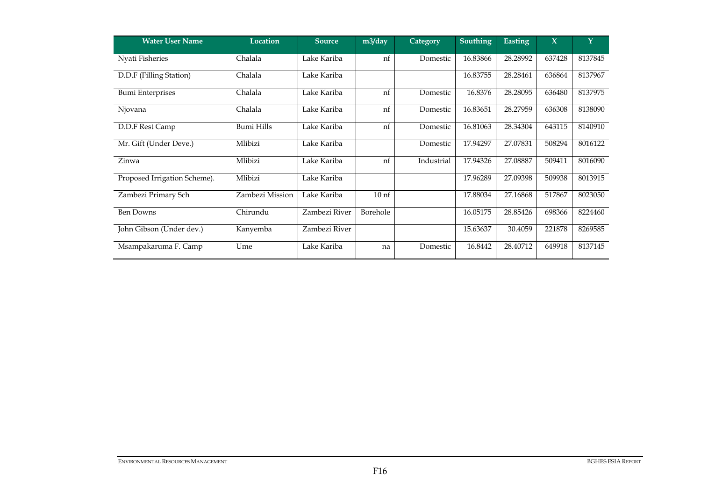| <b>Water User Name</b>       | <b>Location</b>   | <b>Source</b> | m3/day                     | Category   | <b>Southing</b> | <b>Easting</b> | $\mathbf x$ | Y       |
|------------------------------|-------------------|---------------|----------------------------|------------|-----------------|----------------|-------------|---------|
| Nyati Fisheries              | Chalala           | Lake Kariba   | $\mathop{\rm nf}\nolimits$ | Domestic   | 16.83866        | 28.28992       | 637428      | 8137845 |
| D.D.F (Filling Station)      | Chalala           | Lake Kariba   |                            |            | 16.83755        | 28.28461       | 636864      | 8137967 |
| <b>Bumi</b> Enterprises      | Chalala           | Lake Kariba   | nf                         | Domestic   | 16.8376         | 28.28095       | 636480      | 8137975 |
| Njovana                      | Chalala           | Lake Kariba   | $\mathop{\rm nf}\nolimits$ | Domestic   | 16.83651        | 28.27959       | 636308      | 8138090 |
| D.D.F Rest Camp              | <b>Bumi Hills</b> | Lake Kariba   | $\mathbf{nf}$              | Domestic   | 16.81063        | 28.34304       | 643115      | 8140910 |
| Mr. Gift (Under Deve.)       | Mlibizi           | Lake Kariba   |                            | Domestic   | 17.94297        | 27.07831       | 508294      | 8016122 |
| Zinwa                        | Mlibizi           | Lake Kariba   | nf                         | Industrial | 17.94326        | 27.08887       | 509411      | 8016090 |
| Proposed Irrigation Scheme). | Mlibizi           | Lake Kariba   |                            |            | 17.96289        | 27.09398       | 509938      | 8013915 |
| Zambezi Primary Sch          | Zambezi Mission   | Lake Kariba   | 10 <sub>nf</sub>           |            | 17.88034        | 27.16868       | 517867      | 8023050 |
| <b>Ben Downs</b>             | Chirundu          | Zambezi River | Borehole                   |            | 16.05175        | 28.85426       | 698366      | 8224460 |
| John Gibson (Under dev.)     | Kanyemba          | Zambezi River |                            |            | 15.63637        | 30.4059        | 221878      | 8269585 |
| Msampakaruma F. Camp         | Ume               | Lake Kariba   | na                         | Domestic   | 16.8442         | 28.40712       | 649918      | 8137145 |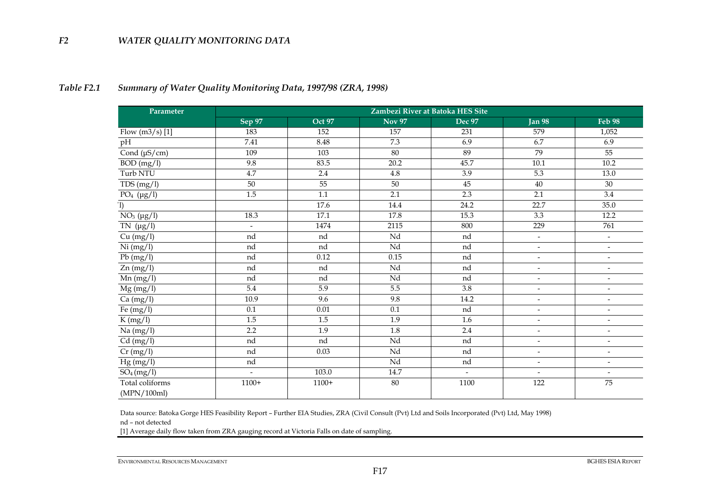#### *F2WATER QUALITY MONITORING DATA*

#### **Parameter Zambezi River at Batoka HES Site Sep 97 Oct 97 Nov 97 Dec 97 Jan 98 Feb 98**  Flow (m3/s) [1] 193 1 152 157 231 579 1,052 pH 7.41 8.48 7.3 6.9 6.7 6.9 Cond (μS/cm) 109 103 80 89 79 55 BOD (mg/l)  $9.8$   $8.5$   $20.2$   $45.7$   $10.1$  10.1 10.2 Turb NTU 1.7 1 2.4 1 4.8 1 3.9 1 5.3 1 13.0  $13.0$ TDS (mg/l) 50 55 50 45 40 50 30 PO<sub>4</sub> (μg/l)  $1.5$  1.1 2.1 2.3 2.1 3.4  $(1)$  17.6  $14.4$  24.2  $22.7$  35.0 NO<sub>3</sub> (μg/l) 18.3 12.2  $\vert$  17.1 17.8 15.3  $\vert$  3.3 12.2 TN (μg/l) - 1474 2115 800 229 761 Cu (mg/l) nd nd Nd nd - -Ni (mg/l) nd nd Nd nd - - -Pb (mg/l) and the other hand the other hand the model of the model of the model of the model of the model of t  $\text{Zn (mg/l)}$  and  $\text{nd}$  and  $\text{Nd}$  and  $\text{nd}$  and  $\text{nd}$  -  $\text{nd}$  -Mn (mg/l) nd | nd | Nd | nd | - | -Mg (mg/l) 5.4 5.9 7 5.5 3.8 7 5.8 - 1 Ca (mg/l) 10.9 10.9 10.9 16 9.8 14.2 1 - 1 Fe (mg/l) 0.1 0.01 0.1 nd - -K (mg/l)  $1.5$   $1.5$   $1.9$   $1.6$   $1.6$  -  $1$ Na (mg/l) 2.2 1.9 1.8 2.4 - - Cd (mg/l) nd nd Nd nd - - -Cr (mg/l) and the 0.03 Nd nd - - -Hg (mg/l) nd | | Nd nd | - | - $SO_4 \text{(mg/l)}$  - 103.0 14.7 - - -Total coliforms (MPN/100ml) 1100+ 1 1100+ 1 80 1 1100 1 122 1 75 75

#### *Table F2.1 Summary of Water Quality Monitoring Data, 1997/98 (ZRA, 1998)*

Data source: Batoka Gorge HES Feasibility Report – Further EIA Studies, ZRA (Civil Consult (Pvt) Ltd and Soils Incorporated (Pvt) Ltd, May 1998)

nd – not detected

[1] Average daily flow taken from ZRA gauging record at Victoria Falls on date of sampling.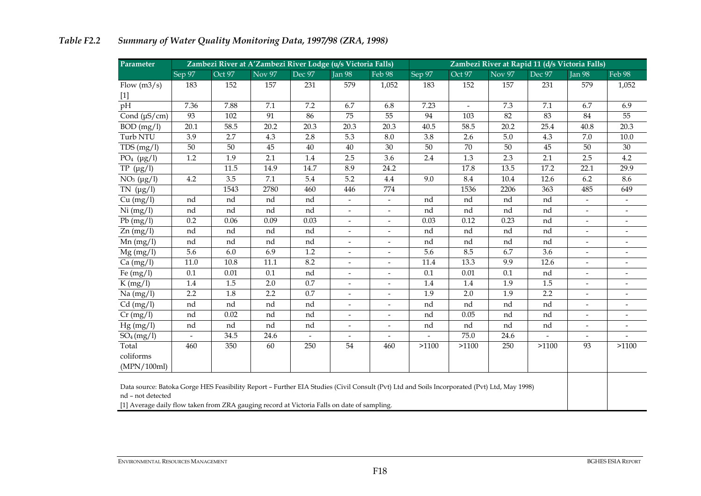| Parameter                                                                                                                                                        |        |         | Zambezi River at A'Zambezi River Lodge (u/s Victoria Falls) |         |                          |                          |        |                          | Zambezi River at Rapid 11 (d/s Victoria Falls) |        |                          |                          |
|------------------------------------------------------------------------------------------------------------------------------------------------------------------|--------|---------|-------------------------------------------------------------|---------|--------------------------|--------------------------|--------|--------------------------|------------------------------------------------|--------|--------------------------|--------------------------|
|                                                                                                                                                                  | Sep 97 | Oct 97  | <b>Nov 97</b>                                               | Dec 97  | Jan 98                   | Feb 98                   | Sep 97 | Oct 97                   | <b>Nov 97</b>                                  | Dec 97 | Jan 98                   | Feb 98                   |
| Flow $(m3/s)$                                                                                                                                                    | 183    | 152     | 157                                                         | 231     | 579                      | 1,052                    | 183    | 152                      | 157                                            | 231    | 579                      | 1,052                    |
| $[1]$                                                                                                                                                            |        |         |                                                             |         |                          |                          |        |                          |                                                |        |                          |                          |
| pH                                                                                                                                                               | 7.36   | 7.88    | 7.1                                                         | 7.2     | 6.7                      | 6.8                      | 7.23   | $\overline{\phantom{a}}$ | 7.3                                            | 7.1    | 6.7                      | 6.9                      |
| Cond $(\mu S/cm)$                                                                                                                                                | 93     | 102     | 91                                                          | 86      | 75                       | 55                       | 94     | 103                      | 82                                             | 83     | 84                       | 55                       |
| $BOD$ (mg/l)                                                                                                                                                     | 20.1   | 58.5    | 20.2                                                        | 20.3    | 20.3                     | 20.3                     | 40.5   | 58.5                     | 20.2                                           | 25.4   | 40.8                     | 20.3                     |
| Turb NTU                                                                                                                                                         | 3.9    | 2.7     | 4.3                                                         | 2.8     | 5.3                      | 8.0                      | 3.8    | 2.6                      | 5.0                                            | 4.3    | 7.0                      | 10.0                     |
| $\overline{\text{TDS}}$ (mg/l)                                                                                                                                   | 50     | 50      | 45                                                          | 40      | 40                       | 30                       | 50     | 70                       | 50                                             | 45     | 50                       | 30                       |
| $PO_4$ ( $\mu g/l$ )                                                                                                                                             | 1.2    | 1.9     | 2.1                                                         | $1.4\,$ | 2.5                      | 3.6                      | 2.4    | $1.3\,$                  | 2.3                                            | 2.1    | 2.5                      | 4.2                      |
| $TP$ ( $\mu g/l$ )                                                                                                                                               |        | 11.5    | 14.9                                                        | 14.7    | 8.9                      | 24.2                     |        | 17.8                     | 13.5                                           | 17.2   | 22.1                     | 29.9                     |
| $NO3 (\mu g/l)$                                                                                                                                                  | 4.2    | 3.5     | 7.1                                                         | 5.4     | 5.2                      | 4.4                      | 9.0    | 8.4                      | 10.4                                           | 12.6   | 6.2                      | 8.6                      |
| TN $(\mu g/l)$                                                                                                                                                   |        | 1543    | 2780                                                        | 460     | 446                      | 774                      |        | 1536                     | 2206                                           | 363    | 485                      | 649                      |
| Cu (mg/l)                                                                                                                                                        | nd     | nd      | nd                                                          | nd      |                          | $\overline{\phantom{a}}$ | nd     | nd                       | nd                                             | nd     | $\overline{\phantom{a}}$ |                          |
| Ni (mg/l)                                                                                                                                                        | nd     | nd      | nd                                                          | nd      | $\overline{\phantom{a}}$ | $\overline{\phantom{a}}$ | nd     | nd                       | nd                                             | nd     | $\overline{\phantom{a}}$ |                          |
| $Pb$ (mg/l)                                                                                                                                                      | 0.2    | 0.06    | 0.09                                                        | 0.03    | $\overline{\phantom{a}}$ | $\overline{\phantom{a}}$ | 0.03   | 0.12                     | 0.23                                           | nd     | $\overline{\phantom{a}}$ |                          |
| $Zn$ (mg/l)                                                                                                                                                      | nd     | nd      | nd                                                          | nd      | $\overline{\phantom{a}}$ | $\overline{\phantom{a}}$ | nd     | nd                       | nd                                             | nd     | $\overline{\phantom{a}}$ |                          |
| $\overline{M}n$ (mg/l)                                                                                                                                           | nd     | nd      | nd                                                          | nd      | $\overline{\phantom{a}}$ | $\overline{\phantom{a}}$ | nd     | nd                       | nd                                             | nd     | $\overline{\phantom{a}}$ | $\overline{\phantom{a}}$ |
| $Mg$ (mg/l)                                                                                                                                                      | 5.6    | $6.0\,$ | 6.9                                                         | 1.2     | $\overline{\phantom{a}}$ | $\overline{\phantom{a}}$ | 5.6    | 8.5                      | 6.7                                            | 3.6    | $\overline{\phantom{a}}$ |                          |
| Ca (mg/l)                                                                                                                                                        | 11.0   | 10.8    | 11.1                                                        | 8.2     |                          |                          | 11.4   | 13.3                     | 9.9                                            | 12.6   | $\overline{\phantom{a}}$ |                          |
| Fe $(mg/l)$                                                                                                                                                      | 0.1    | 0.01    | 0.1                                                         | nd      | $\overline{\phantom{a}}$ | $\overline{\phantom{a}}$ | 0.1    | 0.01                     | 0.1                                            | nd     | $\overline{\phantom{a}}$ |                          |
| K(mg/l)                                                                                                                                                          | 1.4    | 1.5     | 2.0                                                         | 0.7     | $\overline{\phantom{a}}$ | $\overline{\phantom{a}}$ | 1.4    | 1.4                      | 1.9                                            | 1.5    | $\overline{\phantom{a}}$ |                          |
| $\overline{Na}$ (mg/l)                                                                                                                                           | 2.2    | 1.8     | 2.2                                                         | 0.7     | $\overline{\phantom{a}}$ | $\overline{\phantom{a}}$ | 1.9    | 2.0                      | 1.9                                            | 2.2    | $\overline{\phantom{a}}$ |                          |
| $Cd$ (mg/l)                                                                                                                                                      | nd     | nd      | nd                                                          | nd      | $\overline{\phantom{a}}$ | $\overline{\phantom{a}}$ | nd     | nd                       | nd                                             | nd     | $\overline{\phantom{a}}$ |                          |
| $Cr$ (mg/l)                                                                                                                                                      | nd     | 0.02    | nd                                                          | nd      | $\overline{\phantom{a}}$ | $\overline{\phantom{a}}$ | nd     | 0.05                     | nd                                             | nd     | $\overline{\phantom{a}}$ | $\overline{\phantom{a}}$ |
| $Hg$ (mg/l)                                                                                                                                                      | nd     | nd      | nd                                                          | nd      | $\overline{\phantom{a}}$ | $\overline{\phantom{a}}$ | nd     | nd                       | nd                                             | nd     | $\overline{\phantom{a}}$ |                          |
| $SO_4$ (mg/l)                                                                                                                                                    |        | 34.5    | 24.6                                                        |         |                          |                          |        | 75.0                     | 24.6                                           |        |                          |                          |
| Total                                                                                                                                                            | 460    | 350     | 60                                                          | 250     | 54                       | 460                      | >1100  | >1100                    | 250                                            | >1100  | 93                       | >1100                    |
| coliforms                                                                                                                                                        |        |         |                                                             |         |                          |                          |        |                          |                                                |        |                          |                          |
| (MPN/100ml)                                                                                                                                                      |        |         |                                                             |         |                          |                          |        |                          |                                                |        |                          |                          |
| Data source: Batoka Gorge HES Feasibility Report - Further EIA Studies (Civil Consult (Pvt) Ltd and Soils Incorporated (Pvt) Ltd, May 1998)<br>nd - not detected |        |         |                                                             |         |                          |                          |        |                          |                                                |        |                          |                          |

### *Table F2.2 Summary of Water Quality Monitoring Data, 1997/98 (ZRA, 1998)*

[1] Average daily flow taken from ZRA gauging record at Victoria Falls on date of sampling.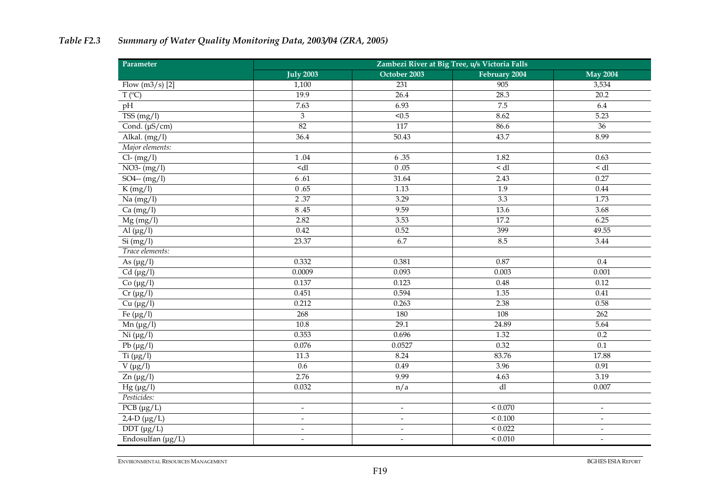#### **Parameter Zambezi River at Big Tree, u/s Victoria Falls July 2003 October 2003 February 2004 May 2004**  Flow (m3/s) [2] 1,100 231 905 3,534  $T$  (°C) 26.4 28.3 20.2 pH 7.63 7.63 6.93 7.5 1 6.4 TSS (mg/l) 5.23  $\qquad$  5.23  $\qquad$  5.23 Cond. (μS/cm) 82 86.6 36 Alkal. (mg/l) 36.4 50.43 43.7 8.99 *Major elements:*  Cl-  $(\text{mg/l})$  1.04 1.04 6.35 1.82 1.82 0.63 NO3- (mg/l) <dl 0 .05 < dl < dl  $SO4$ --  $(mg/l)$  6.61 6.61 31.64 2.43 0.27 K (mg/l)  $0.65$  1.13 1.9 0.44 Na  $(\text{mg/l})$  2 .37 3.29  $\sqrt{3.3}$  3.3 3 3 3 3 3 3 3 3 3 4  $1.73$ Ca (mg/l) 8 .45 8 .45 9.59 13.6 3.68  $Mg (mg/l)$  6.25  $2.82$   $1.53$   $17.2$   $17.2$   $6.25$ Al (μg/l) 6.42  $(1)$  0.42  $(1)$  0.52  $(399)$  49.55 Si (mg/l) 23.37 6.7 8.5 8.5 3.44 *Trace elements:*  As (μg/l) 6.332 0.333 0.87 0.87 0.4 Cd (μg/l) 0.0009 0.093 0.003 0.001 Co (μg/l)  $0.12$  0.137 0.123 0.48 0.12 Cr (μg/l) 6.41 0.451 0.451 0.594 1.35 0.41 Cu (μg/l)  $0.58$  0.212  $0.212$  0.263  $0.263$  2.38  $0.58$ Fe (μg/l) 262 268 180 108 262 262 262 269 180 180 262 262 262 262 27 280 27 280 27 280 27 280 27 280 27 280 27 280 27 280 27 280 27 280 27 280 27 280 27 280 27 280 27 280 27 280 27 280 27 280 27 280 27 280 27 280 27 280 2 Mn (μg/l)  $10.8$  10.8 29.1 24.89 5.64 Ni (μg/l)  $0.353$  0.696 1.32 1.32 0.2 Pb (μg/l)  $0.076$  0.0527 0.32 0.32 0.1 Ti (μg/l) 11.3 11.3 8.24 83.76 17.88  $V(\mu g/I)$  0.6 0.49 3.96 0.91  $\text{Zn (}\mu\text{g/l)}$  3.19 3.19 Hg (μg/l) 0.032 n/a dl 0.007 *Pesticides:*  PCB (μg/L) - - < 0.070 - 2,4-D (μg/L) - - < 0.100 - DDT (μg/L) - - < 0.022 -  $\frac{1}{2}$ Endosulfan (μg/L) -  $\leq 0.010$  -

#### *Table F2.3 Summary of Water Quality Monitoring Data, 2003/04 (ZRA, 2005)*

ENVIRONMENTAL RESOURCES MANAGEMENT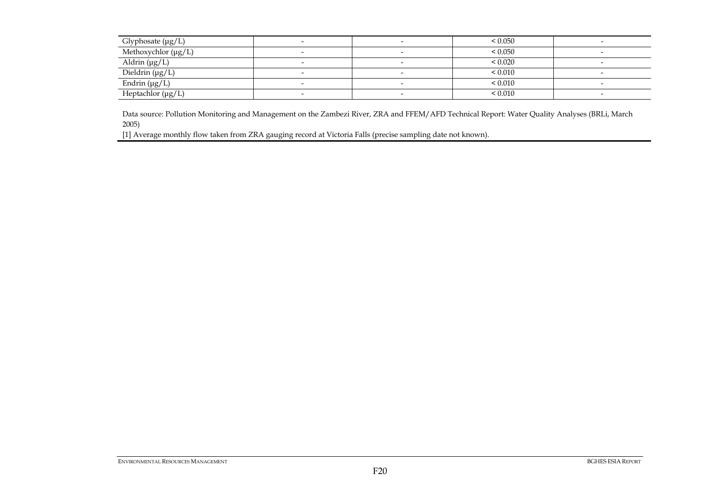| Glyphosate $(\mu g/L)$   |  | ${}_{0.050}$ |  |
|--------------------------|--|--------------|--|
| Methoxychlor $(\mu g/L)$ |  | ${}_{0.050}$ |  |
| Aldrin $(\mu g/L)$       |  | ${}_{0.020}$ |  |
| Dieldrin (µg/L)          |  | ${}_{0.010}$ |  |
| Endrin $(\mu g/L)$       |  | ${}_{0.010}$ |  |
| Heptachlor $(\mu g/L)$   |  | ${}_{0.010}$ |  |

Data source: Pollution Monitoring and Management on the Zambezi River, ZRA and FFEM/AFD Technical Report: Water Quality Analyses (BRLi, March 2005)

[1] Average monthly flow taken from ZRA gauging record at Victoria Falls (precise sampling date not known).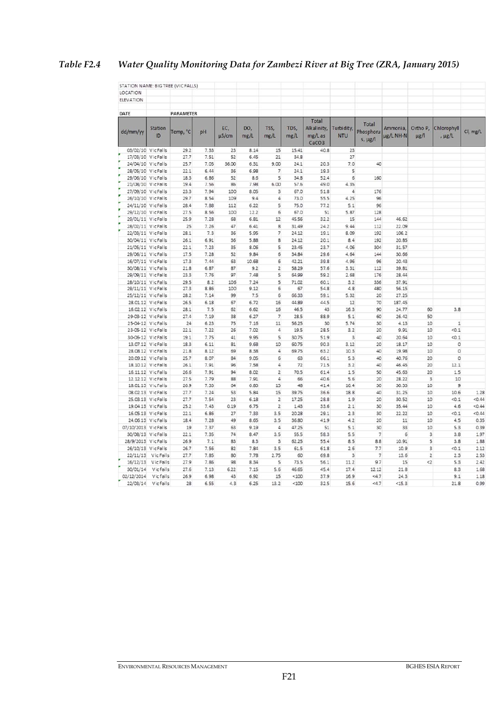### *Table F2.4 Water Quality Monitoring Data for Zambezi River at Big Tree (ZRA, January 2015)*

| STATION NAME: BIG TREE (VIC FALLS) |                   |                  |      |                   |             |                         |              |                                                      |                          |                                           |                       |                         |                          |          |
|------------------------------------|-------------------|------------------|------|-------------------|-------------|-------------------------|--------------|------------------------------------------------------|--------------------------|-------------------------------------------|-----------------------|-------------------------|--------------------------|----------|
| LOCATION                           |                   |                  |      |                   |             |                         |              |                                                      |                          |                                           |                       |                         |                          |          |
| <b>ELEVATION</b>                   |                   |                  |      |                   |             |                         |              |                                                      |                          |                                           |                       |                         |                          |          |
|                                    |                   |                  |      |                   |             |                         |              |                                                      |                          |                                           |                       |                         |                          |          |
| DATE                               |                   | <b>PARAMETER</b> |      |                   |             |                         |              |                                                      |                          |                                           |                       |                         |                          |          |
| dd/mm/yy                           | Station<br>ID     | Temp, °C         | pH   | EC,<br>$\mu$ S/cm | DO.<br>mg/L | TSS,<br>mg/L            | TDS,<br>mg/L | Total<br>Alkalinity,<br>mg/L as<br>CaCO <sub>3</sub> | Turbidity,<br><b>NTU</b> | <b>Total</b><br>Phosphoru<br>$s, \mu g/l$ | Ammonia,<br>µg/L NH-N | Ortho P,<br>$\mu$ g/l   | Chlorophyll<br>$\mu$ g/L | Cl, mg/L |
|                                    | 03/02/10 VicFalls | 29.2             | 7.33 | 23                | 8.14        | 15                      | 15.41        | 40.8                                                 | 23                       |                                           |                       |                         |                          |          |
|                                    | 17/03/10 VicFalls | 27.7             | 7.51 | 52                | 6.45        | 21                      | 34.8         |                                                      | 27                       |                                           |                       |                         |                          |          |
|                                    | 24/04/10 VicFalls | 25.7             | 7.05 | 36.00             | 6.31        | 9.00                    | 24.1         | 20.3                                                 | 7.0                      | 40                                        |                       |                         |                          |          |
|                                    | 28/05/10 VicFalls | 22.1             | 6,44 | 36                | 6.98        | 7                       | 24.1         | 19.3                                                 | 5                        |                                           |                       |                         |                          |          |
|                                    | 29/06/10 VicFalls | 18.3             | 6.86 | 52                | 8.6         | 5                       | 34.8         | 52.4                                                 | 6                        | 160                                       |                       |                         |                          |          |
|                                    | 21/08/10 VicFalls | 19.4             | 7.56 | 86                | 7.98        | 6.00                    | 57.6         | 49.0                                                 | 4.35                     |                                           |                       |                         |                          |          |
|                                    | 27/09/10 VicFalls | 23.3             | 7.94 | 100               | 8.05        | 3                       | 67.0         | 51.8                                                 | 4                        | 176                                       |                       |                         |                          |          |
|                                    | 26/10/10 VicFalls | 29.7             | 8.54 | 109               | 9.4         | 4                       | 73.0         | 55.5                                                 | 4.25                     | 96                                        |                       |                         |                          |          |
|                                    | 24/11/10 VicFalls | 28.4             | 7.88 | 112               | 6.22        | 5                       | 75.0         | 77.2                                                 | 5.1                      | 96                                        |                       |                         |                          |          |
|                                    | 29/12/10 VicFalls | 27.5             | 8.56 | 100               | 12.2        | 6                       | 67.0         | 51                                                   | 5.87                     | 128                                       |                       |                         |                          |          |
|                                    | 29/01/11 VicFalls | 25.9             | 7.28 | 68                | 6.81        | 12                      | 45.56        | 32.2                                                 | 15                       | 144                                       | 46.62                 |                         |                          |          |
|                                    | 28/02/11 VicFalls | 25               | 7.26 | 47                | 6.41        | 8                       | 31.49        | 24.2                                                 | 9.44                     | 112                                       | 22.09                 |                         |                          |          |
|                                    | 22/03/11 VicFalls | 28.1             | 7.3  | 36                | 5.95        | 7                       | 24.12        | 19.1                                                 | 8.09                     | 192                                       | 106.2                 |                         |                          |          |
|                                    | 30/04/11 VicFalls | 26.1             | 6.91 | 36                | 5.88        | 8                       | 24.12        | 20.1                                                 | 8.4                      | 192                                       | 20.85                 |                         |                          |          |
|                                    | 21/05/11 VicFalls | 22.1             | 7.23 | 35                | 8.06        | 5                       | 23.45        | 23.7                                                 | 4.06                     | 304                                       | 31.57                 |                         |                          |          |
|                                    | 29/06/11 VicFalls | 17.5             | 7.28 | 52                | 9.84        | 6                       | 34.84        | 29.6                                                 | 4.64                     | 144                                       | 30.66                 |                         |                          |          |
|                                    | 16/07/11 VicFalls | 17.3             | 7.44 | 63                | 10.68       | 6                       | 42.21        | 39.8                                                 | 4.96                     | 96                                        | 20.43                 |                         |                          |          |
|                                    | 30/08/11 VicFalls | 21.8             | 6.87 | 87                | 9.2         | $\overline{2}$          | 58.29        | 57.6                                                 | 3.31                     | 112                                       | 39.81                 |                         |                          |          |
|                                    | 29/09/11 VicFalls | 23.3             | 7.76 | 97                | 7.48        | 5                       | 64.99        | 59.2                                                 | 2.68                     | 176                                       | 28.44                 |                         |                          |          |
|                                    | 28/10/11 VicFalls | 29.5             | 8.2  | 106               | 7.24        | 5                       | 71.02        | 60.1                                                 | 3.2                      | 336                                       | 37.91                 |                         |                          |          |
|                                    | 29/11/11 VicFalls | 27.3             | 8.86 | 100               | 9.12        | 6                       | 67           | 54.8                                                 | 4.8                      | 480                                       | 56.15                 |                         |                          |          |
|                                    | 25/12/11 VicFalls | 28.2             | 7.14 | 99                | 7.5         | 6                       | 66.33        | 59.1                                                 | 5.32                     | 20                                        | 27.25                 |                         |                          |          |
|                                    | 28.01.12 VicFalls | 26.5             | 6.18 | 67                | 6.72        | 16                      | 44.89        | 44.5                                                 | 12                       | 70                                        | 187.45                |                         |                          |          |
|                                    | 16.02.12 VicFalls | 28.1             | 7.5  | 62                | 6.62        | 16                      | 46.5         | 43                                                   | 16.3                     | 90                                        | 24.77                 | 60                      | 3.8                      |          |
|                                    | 29-03-12 VicFalls | 27.4             | 7.19 | 38                | 6.27        | $\overline{7}$          | 28.5         | 88.9                                                 | 5.1                      | 60                                        | 26.42                 | 50                      |                          |          |
|                                    | 25-04-12 VicFalls | 24               | 6.23 | 75                | 7.16        | 11                      | 56.25        | 30                                                   | 5.74                     | 30                                        | 4.13                  | 10                      | $\mathbf{1}$             |          |
|                                    | 23-05-12 VicFalls | 22.1             | 7.22 | 26                | 7.02        | 4                       | 19.5         | 28.5                                                 | 3.2                      | 20                                        | 9.91                  | 10                      | < 0.1                    |          |
|                                    | 30-06-12 VicFalls | 19.1             | 7.75 | 41                | 9.95        | 5                       | 30.75        | 51.9                                                 | 3                        | 40                                        | 20.64                 | 10                      | 0.1                      |          |
|                                    | 13.07.12 VicFalls | 18.3             | 6.11 | 81                | 9.68        | 10                      | 60.75        | 90.3                                                 | 3.12                     | 20                                        | 18.17                 | 10                      | $\circ$                  |          |
|                                    | 28.08.12 VicFalls | 21.8             | 8.12 | 69                | 8.38        | 4                       | 69.75        | 63.2                                                 | 10.3                     | 40                                        | 19.98                 | 10                      | o                        |          |
|                                    | 20.09.12 VicFalls | 25.7             | 8.07 | 84                | 9.05        | 6                       | 63           | 66.1                                                 | 5.3                      | 40                                        | 40.76                 | 20                      | o                        |          |
|                                    | 18.10.12 VicFalls | 26.1             | 7.91 | 96                | 7.58        | 4                       | 72           | 71.5                                                 | 3.2                      | 40                                        | 46.45                 | 20                      | 12.1                     |          |
|                                    | 16.11.12 VicFalls | 26.6             | 7.91 | 94                | 8.02        | $\overline{2}$          | 70.5         | 61.4                                                 | 1.5                      | 50                                        | 45.63                 | 20                      | 1.5                      |          |
|                                    | 12.12.12 VicFalls | 27.5             | 7.79 | 88                | 7.91        | 4                       | 66           | 40.6                                                 | 5.6                      | 20                                        | 28.22                 | 3                       | 10                       |          |
|                                    | 18.01.13 VicFalls | 26.9             | 7.33 | 64                | 6.83        | 15                      | 48           | 41.4                                                 | 16.4                     | 30                                        | 30.33                 | 10                      | э                        |          |
|                                    | 08.02.13 VicFalls | 27.7             | 7.24 | 53                | 5.84        | 15                      | 39.75        | 36.6                                                 | 18.8                     | 40                                        | 31.25                 | 10                      | 10.6                     | 1.28     |
|                                    | 25.03.13 VicFalls | 27.7             | 7.54 | 23                | 6.18        | $\overline{2}$          | 17.25        | 28.8                                                 | 1.9                      | 20                                        | 30.52                 | 10                      | < 0.1                    | < 0.44   |
|                                    | 19.04.13 VicFalls | 25.2             | 7.43 | 0.19              | 6.75        | $\overline{2}$          | 1.43         | 33.6                                                 | 2.1                      | 30                                        | 35.44                 | 10                      | 4.6                      | < 0.44   |
|                                    | 16.05.13 VicFalls | 22.1             | 6.86 | 27                | 7.33        | 3.5                     | 20.28        | 29.1                                                 | 2.3                      | 30                                        | 22.22                 | 10                      | < 0.1                    | < 0.44   |
|                                    | 24.06.13 VicFalls | 18.4             | 7.28 | 49                | 8.65        | 3.5                     | 36.80        | 41.9                                                 | 4.2                      | 20                                        | 11                    | 10                      | 4.5                      | 0.35     |
| 07/10/2013 VicFalls                |                   | 19               | 7.37 | 63                | 9.19        | $\overline{4}$          | 47.25        | 51                                                   | 5.1                      | 30                                        | 33                    | 10                      | 5.3                      | 0.39     |
|                                    | 30/08/13 VicFalls | 22.1             | 7.35 | 74                | 8.47        | 3.5                     | 55.5         | 58.3                                                 | 5.5                      | $\overline{7}$                            | 6                     | 3                       | 3.8                      | 1.97     |
| 28/9/2013 VicFalls                 |                   | 26.9             | 7.1  | 83                | 8.3         | $\overline{\mathbf{3}}$ | 62.25        | 55.4                                                 | 8.5                      | 8.8                                       | 10.91                 | 5                       | 3.8                      | 1.88     |
|                                    | 26/10/13 VicFalls | 26.7             | 7.56 | 82                | 7.84        | 3.5                     | 61.5         | 61.8                                                 | 2.6                      | 7.7                                       | 10.9                  | 3                       | < 0.1                    | 2.12     |
| 22/11/13                           | Vic Falls         | 27.7             | 7.85 | 80                | 7.78        | 2.75                    | 60           | 69.8                                                 | 3                        | $\overline{7}$                            | 13.6                  | $\overline{\mathbf{2}}$ | 2.3                      | 2.53     |
| 16/12/13                           | Vic Falls         | 27.9             | 7.86 | 98                | 8.34        | 5                       | 73.5         | 56.1                                                 | 11.2                     | 9.7                                       | 15                    | $\triangleleft$         | 5.3                      | 2.42     |
| 30/01/14                           | Vic falls         | 27.6             | 7.13 | 6.22              | 7.15        | 5.6                     | 46.65        | 45.4                                                 | 17.4                     | 12.12                                     | 21.8                  |                         | 8.3                      | 1.68     |
| 02/12/2014                         | Vic falls         | 26.9             | 6.98 | 43                | 6.92        | 15                      | < 100        | 37.9                                                 | 16.9                     | <4.7                                      | 24.3                  |                         | 9.1                      | 1.18     |
| 22/03/14                           | Vic falls         | 28               | 6.55 | 4.3               | 6.25        | 13.2                    | < 100        | 32.5                                                 | 15.6                     | <4.7                                      | < 15.3                |                         | 21.8                     | 0.99     |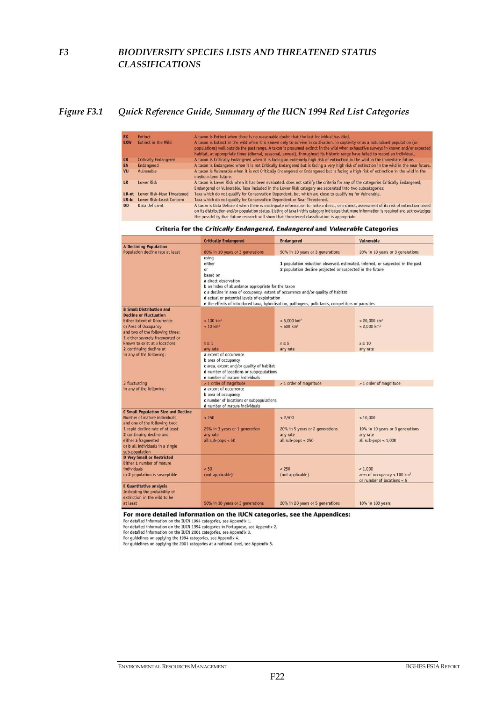#### *F3 BIODIVERSITY SPECIES LISTS AND THREATENED STATUS CLASSIFICATIONS*

### *Figure F3.1 Quick Reference Guide, Summary of the IUCN 1994 Red List Categories*

| <b>FX</b><br><b>EXW</b> | <b>Extinct</b><br><b>Extinct in the Wild</b> | A taxon is Extinct when there is no reasonable doubt that the last individual has died.<br>A taxon is Extinct in the wild when it is known only to survive in cultivation, in captivity or as a naturalised population (or<br>populations) well outside the past range. A taxon is presumed extinct in the wild when exhaustive surveys in known and/or expected<br>habitat, at appropriate times (diurnal, seasonal, annual), throughout its historic range have failed to record an individual. |
|-------------------------|----------------------------------------------|---------------------------------------------------------------------------------------------------------------------------------------------------------------------------------------------------------------------------------------------------------------------------------------------------------------------------------------------------------------------------------------------------------------------------------------------------------------------------------------------------|
| <b>CR</b>               | <b>Critically Endangered</b>                 | A taxon is Critically Endangered when it is facing an extremely high risk of extinction in the wild in the immediate future.                                                                                                                                                                                                                                                                                                                                                                      |
| EN                      | Endangered                                   | A taxon is Endangered when it is not Critically Endangered but is facing a very high risk of extinction in the wild in the near future.                                                                                                                                                                                                                                                                                                                                                           |
| <b>VU</b>               | Vulnerable                                   | A taxon is Vulnerable when it is not Critically Endangered or Endangered but is facing a high risk of extinction in the wild in the<br>medium-term future.                                                                                                                                                                                                                                                                                                                                        |
| <b>LR</b>               | <b>Lower Risk</b>                            | A taxon is Lower Risk when it has been evaluated, does not satisfy the criteria for any of the categories Critically Endangered,<br>Endangered or Vulnerable. Taxa included in the Lower Risk category are separated into two subcategories:                                                                                                                                                                                                                                                      |
|                         | <b>LR-nt</b> Lower Risk-Near Threatened      | Taxa which do not qualify for Conservation Dependent, but which are close to qualifying for Vulnerable.                                                                                                                                                                                                                                                                                                                                                                                           |
| $LR - lc$               | Lower Risk-Least Concern                     | Taxa which do not qualify for Conservation Dependent or Near Threatened.                                                                                                                                                                                                                                                                                                                                                                                                                          |
| <b>DD</b>               | Data Deficient                               | A taxon is Data Deficient when there is inadequate information to make a direct, or indirect, assessment of its risk of extinction based<br>on its distribution and/or population status. Listing of taxa in this category indicates that more information is required and acknowledges<br>the possibility that future research will show that threatened classification is appropriate.                                                                                                          |

|                                                                                                                                                                   |                                                                                                                                                                                                                                                                                                                                                                                                                                                                                                     | Criteria for the Critically Endangered, Endangered and Vulnerable Categories |                                                                                 |  |  |  |  |  |
|-------------------------------------------------------------------------------------------------------------------------------------------------------------------|-----------------------------------------------------------------------------------------------------------------------------------------------------------------------------------------------------------------------------------------------------------------------------------------------------------------------------------------------------------------------------------------------------------------------------------------------------------------------------------------------------|------------------------------------------------------------------------------|---------------------------------------------------------------------------------|--|--|--|--|--|
|                                                                                                                                                                   | <b>Critically Endangered</b>                                                                                                                                                                                                                                                                                                                                                                                                                                                                        | <b>Endangered</b>                                                            | Vulnerable                                                                      |  |  |  |  |  |
| <b>A Declining Population</b><br>Population decline rate at least                                                                                                 | 80% in 10 years or 3 generations<br>using                                                                                                                                                                                                                                                                                                                                                                                                                                                           | 50% in 10 years or 3 generations                                             | 20% in 10 years or 3 generations                                                |  |  |  |  |  |
|                                                                                                                                                                   | either<br>1 population reduction observed, estimated, inferred, or suspected in the past<br>2 population decline projected or suspected in the future<br>or<br>based on<br>a direct observation<br><b>b</b> an index of abundance appropriate for the taxon<br>c a decline in area of occupancy, extent of occurrence and/or quality of habitat<br>d actual or potential levels of exploitation<br>e the effects of introduced taxa, hybridisation, pathogens, pollutants, competitors or parasites |                                                                              |                                                                                 |  |  |  |  |  |
| <b>B</b> Small Distribution and                                                                                                                                   |                                                                                                                                                                                                                                                                                                                                                                                                                                                                                                     |                                                                              |                                                                                 |  |  |  |  |  |
| <b>Decline or Fluctuation</b><br><b>Either Extent of Occurrence</b><br>or Area of Occupancy<br>and two of the following three:<br>1 either severely fragmented or | $< 100$ km <sup>2</sup><br>$< 10$ km <sup>2</sup>                                                                                                                                                                                                                                                                                                                                                                                                                                                   | $< 5,000$ km <sup>2</sup><br>< 500 km <sup>2</sup>                           | $< 20,000$ km <sup>2</sup><br>$< 2,000$ km <sup>2</sup>                         |  |  |  |  |  |
| known to exist at x locations                                                                                                                                     | $x \leq 1$                                                                                                                                                                                                                                                                                                                                                                                                                                                                                          | $x \leq 5$                                                                   | $x \leq 10$                                                                     |  |  |  |  |  |
| 2 continuing decline at<br>in any of the following:                                                                                                               | any rate<br>any rate<br>any rate<br>a extent of occurrence<br><b>b</b> area of occupancy<br>c area, extent and/or quality of habitat<br>d number of locations or subpopulations<br>e number of mature individuals                                                                                                                                                                                                                                                                                   |                                                                              |                                                                                 |  |  |  |  |  |
| 3 fluctuating<br>in any of the following:                                                                                                                         | > 1 order of magnitude<br>a extent of occurrence<br><b>b</b> area of occupancy<br>c number of locations or subpopulations<br>d number of mature individuals                                                                                                                                                                                                                                                                                                                                         | > 1 order of magnitude                                                       | > 1 order of magnitude                                                          |  |  |  |  |  |
| <b>C Small Population Size and Decline</b><br>Number of mature individuals<br>and one of the following two:                                                       | < 250                                                                                                                                                                                                                                                                                                                                                                                                                                                                                               | < 2,500                                                                      | < 10,000                                                                        |  |  |  |  |  |
| 1 rapid decline rate of at least<br>2 continuing decline and<br>either a fragmented<br>or <b>b</b> all individuals in a single<br>sub-population                  | 25% in 3 years or 1 generation<br>any rate<br>all sub-pops $< 50$                                                                                                                                                                                                                                                                                                                                                                                                                                   | 20% in 5 years or 2 generations<br>any rate<br>all sub-pops $<$ 250          | 10% in 10 years or 3 generations<br>any rate<br>all sub-pops $< 1,000$          |  |  |  |  |  |
| <b>D Very Small or Restricted</b><br>Either 1 number of mature<br>individuals<br>or 2 population is susceptible                                                   | < 50<br>(not applicable)                                                                                                                                                                                                                                                                                                                                                                                                                                                                            | < 250<br>(not applicable)                                                    | < 1,000<br>area of occupancy < $100 \text{ km}^2$<br>or number of locations < 5 |  |  |  |  |  |
| <b>E</b> Quantitative analysis<br>Indicating the probability of<br>extinction in the wild to be<br>at least                                                       | 50% in 10 years or 3 generations                                                                                                                                                                                                                                                                                                                                                                                                                                                                    | 20% in 20 years or 5 generations                                             | 10% in 100 years                                                                |  |  |  |  |  |

For more detailed information on the IUCN categories, see the Appendices:

For change detailed information on the IUCN 1994 category<br>For detailed information on the IUCN 1994 categories, see Appendix 1.<br>For detailed information on the IUCN 1994 categories in Portuguese, see Appendix 2.<br>For detail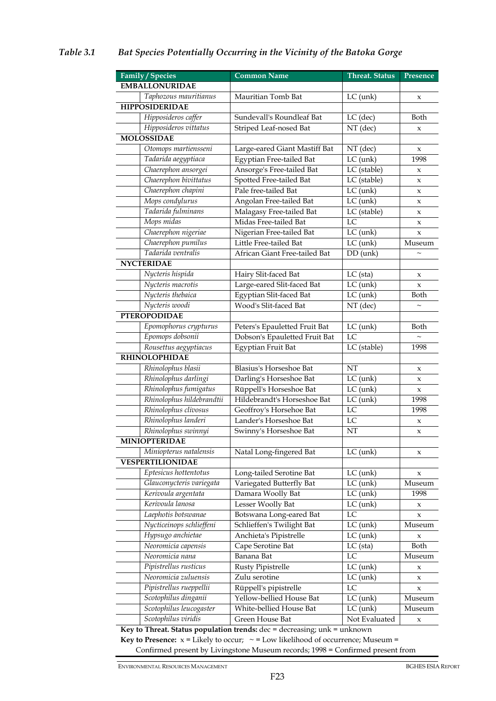### *Table 3.1 Bat Species Potentially Occurring in the Vicinity of the Batoka Gorge*

| Family / Species          | <b>Common Name</b>                                                                       | <b>Threat. Status</b> | Presence                      |
|---------------------------|------------------------------------------------------------------------------------------|-----------------------|-------------------------------|
| <b>EMBALLONURIDAE</b>     |                                                                                          |                       |                               |
| Taphozous mauritianus     | Mauritian Tomb Bat                                                                       | $LC$ (unk)            | x                             |
| <b>HIPPOSIDERIDAE</b>     |                                                                                          |                       |                               |
| Hipposideros caffer       | Sundevall's Roundleaf Bat                                                                | LC (dec)              | Both                          |
| Hipposideros vittatus     | Striped Leaf-nosed Bat                                                                   | NT (dec)              | x                             |
| <b>MOLOSSIDAE</b>         |                                                                                          |                       |                               |
| Otomops martiensseni      | Large-eared Giant Mastiff Bat                                                            | $NT$ (dec)            | X                             |
| Tadarida aegyptiaca       | Egyptian Free-tailed Bat                                                                 | $LC$ (unk)            | 1998                          |
| Chaerephon ansorgei       | Ansorge's Free-tailed Bat                                                                | LC (stable)           | x                             |
| Chaerephon bivittatus     | Spotted Free-tailed Bat                                                                  | LC (stable)           | X                             |
| Chaerephon chapini        | Pale free-tailed Bat                                                                     | $LC$ (unk)            | X                             |
| Mops condylurus           | Angolan Free-tailed Bat                                                                  | $LC$ (unk)            | x                             |
| Tadarida fulminans        | Malagasy Free-tailed Bat                                                                 | LC (stable)           |                               |
| Mops midas                | Midas Free-tailed Bat                                                                    | LC                    | x                             |
| Chaerephon nigeriae       | Nigerian Free-tailed Bat                                                                 | $LC$ (unk)            | x                             |
| Chaerephon pumilus        | Little Free-tailed Bat                                                                   | $LC$ (unk)            | $\boldsymbol{\chi}$<br>Museum |
| Tadarida ventralis        |                                                                                          |                       | $\sim$                        |
| <b>NYCTERIDAE</b>         | African Giant Free-tailed Bat                                                            | $DD$ (unk)            |                               |
|                           |                                                                                          |                       |                               |
| Nycteris hispida          | Hairy Slit-faced Bat                                                                     | $LC$ (sta)            | x                             |
| Nycteris macrotis         | Large-eared Slit-faced Bat                                                               | LC (unk)              | X                             |
| Nycteris thebaica         | Egyptian Slit-faced Bat                                                                  | $LC$ (unk)            | Both                          |
| Nycteris woodi            | Wood's Slit-faced Bat                                                                    | NT (dec)              | $\tilde{\phantom{a}}$         |
| <b>PTEROPODIDAE</b>       |                                                                                          |                       |                               |
| Epomophorus crypturus     | Peters's Epauletted Fruit Bat                                                            | $LC$ (unk)            | Both                          |
| Epomops dobsonii          | Dobson's Epauletted Fruit Bat                                                            | LC                    |                               |
| Rousettus aegyptiacus     | Egyptian Fruit Bat                                                                       | LC (stable)           | 1998                          |
| <b>RHINOLOPHIDAE</b>      |                                                                                          |                       |                               |
| Rhinolophus blasii        | Blasius's Horseshoe Bat                                                                  | NT                    | x                             |
| Rhinolophus darlingi      | Darling's Horseshoe Bat                                                                  | $LC$ (unk)            | x                             |
| Rhinolophus fumigatus     | Rüppell's Horseshoe Bat                                                                  | $LC$ (unk)            | x                             |
| Rhinolophus hildebrandtii | Hildebrandt's Horseshoe Bat                                                              | $LC$ (unk)            | 1998                          |
| Rhinolophus clivosus      | Geoffroy's Horsehoe Bat                                                                  | $_{\rm LC}$           | 1998                          |
| Rhinolophus landeri       | Lander's Horseshoe Bat                                                                   | $_{\rm LC}$           | x                             |
| Rhinolophus swinnyi       | Swinny's Horseshoe Bat                                                                   | NT                    | x                             |
| <b>MINIOPTERIDAE</b>      |                                                                                          |                       |                               |
| Miniopterus natalensis    | Natal Long-fingered Bat                                                                  | $LC$ (unk)            | x                             |
| <b>VESPERTILIONIDAE</b>   |                                                                                          |                       |                               |
| Eptesicus hottentotus     | Long-tailed Serotine Bat                                                                 | $LC$ (unk)            | x                             |
| Glauconycteris variegata  | Variegated Butterfly Bat                                                                 | $LC$ (unk)            | Museum                        |
| Kerivoula argentata       | Damara Woolly Bat                                                                        | $LC$ (unk)            | 1998                          |
| Kerivoula lanosa          | Lesser Woolly Bat                                                                        | $LC$ (unk)            | x                             |
| Laephotis botswanae       | Botswana Long-eared Bat                                                                  | $_{\rm LC}$           | X                             |
| Nycticeinops schlieffeni  | Schlieffen's Twilight Bat                                                                | $LC$ (unk)            | Museum                        |
| Hypsugo anchietae         | Anchieta's Pipistrelle                                                                   | $LC$ (unk)            | x                             |
| Neoromicia capensis       | Cape Serotine Bat                                                                        | $LC$ (sta)            | Both                          |
| Neoromicia nana           | Banana Bat                                                                               | LC                    | Museum                        |
| Pipistrellus rusticus     | <b>Rusty Pipistrelle</b>                                                                 | $LC$ (unk)            | x                             |
| Neoromicia zuluensis      | Zulu serotine                                                                            | $LC$ (unk)            | x                             |
| Pipistrellus rueppellii   | Rüppell's pipistrelle                                                                    | LC                    | x                             |
| Scotophilus dinganii      | Yellow-bellied House Bat                                                                 | $LC$ (unk)            | Museum                        |
| Scotophilus leucogaster   | White-bellied House Bat                                                                  | $LC$ (unk)            | Museum                        |
| Scotophilus viridis       | Green House Bat                                                                          | Not Evaluated         | x                             |
|                           | Key to Threat. Status population trends: $\text{dec} = \text{decreasing:}$ unk = unknown |                       |                               |

**Key to Threat. Status population trends:** dec = decreasing; unk = unknown

**Key to Presence:**  $x =$  Likely to occur;  $\sim$  = Low likelihood of occurrence; Museum =

Confirmed present by Livingstone Museum records; 1998 = Confirmed present from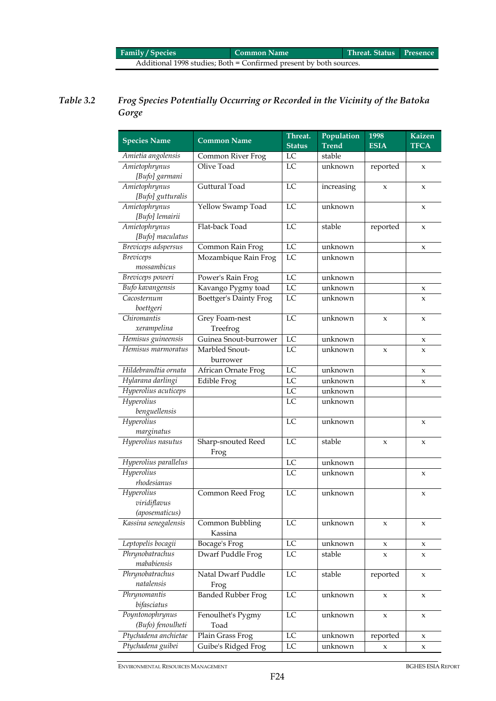| <b>Family / Species</b>                                            | Common Name | Threat. Status Presence |  |  |  |  |  |
|--------------------------------------------------------------------|-------------|-------------------------|--|--|--|--|--|
| Additional 1998 studies; Both = Confirmed present by both sources. |             |                         |  |  |  |  |  |

### *Table 3.2 Frog Species Potentially Occurring or Recorded in the Vicinity of the Batoka Gorge*

| <b>Species Name</b>             | <b>Common Name</b>              | Threat.             | Population             | 1998        | <b>Kaizen</b> |
|---------------------------------|---------------------------------|---------------------|------------------------|-------------|---------------|
|                                 |                                 | <b>Status</b><br>LC | <b>Trend</b><br>stable | <b>ESIA</b> | <b>TFCA</b>   |
| Amietia angolensis              | Common River Frog<br>Olive Toad | LC                  |                        |             |               |
| Amietophrynus<br>[Bufo] garmani |                                 |                     | unknown                | reported    | X             |
| Amietophrynus                   | Guttural Toad                   | LC                  | increasing             | X           | X             |
| [Bufo] gutturalis               |                                 |                     |                        |             |               |
| Amietophrynus                   | Yellow Swamp Toad               | LC                  | unknown                |             | x             |
| [Bufo] lemairii                 |                                 |                     |                        |             |               |
| Amietophrynus                   | Flat-back Toad                  | LC                  | stable                 | reported    | x             |
| [Bufo] maculatus                |                                 |                     |                        |             |               |
| Breviceps adspersus             | Common Rain Frog                | LC                  | unknown                |             | x             |
| <b>Breviceps</b>                | Mozambique Rain Frog            | LC                  | unknown                |             |               |
| mossambicus                     |                                 |                     |                        |             |               |
| Breviceps poweri                | Power's Rain Frog               | LC                  | unknown                |             |               |
| Bufo kavangensis                | Kavango Pygmy toad              | LC                  | unknown                |             | x             |
| Cacosternum                     | <b>Boettger's Dainty Frog</b>   | LC                  | unknown                |             | x             |
| boettgeri                       |                                 |                     |                        |             |               |
| Chiromantis                     | Grey Foam-nest                  | LC                  | unknown                | X           | x             |
| xerampelina                     | Treefrog                        |                     |                        |             |               |
| Hemisus guineensis              | Guinea Snout-burrower           | LC                  | unknown                |             | x             |
| Hemisus marmoratus              | Marbled Snout-                  | LC                  | unknown                | X           | x             |
|                                 | burrower                        |                     |                        |             |               |
| Hildebrandtia ornata            | African Ornate Frog             | LC                  | unknown                |             | x             |
| Hylarana darlingi               | <b>Edible Frog</b>              | LC                  | unknown                |             | x             |
| Hyperolius acuticeps            |                                 | LC                  | unknown                |             |               |
| Hyperolius                      |                                 | LC                  | unknown                |             |               |
| benguellensis                   |                                 |                     |                        |             |               |
| Hyperolius                      |                                 | LC                  | unknown                |             | x             |
| marginatus                      |                                 |                     |                        |             |               |
| Hyperolius nasutus              | Sharp-snouted Reed<br>Frog      | LC                  | stable                 | X           | X             |
| Hyperolius parallelus           |                                 | LC                  | unknown                |             |               |
| Hyperolius                      |                                 | LC                  | unknown                |             | x             |
| rhodesianus                     |                                 |                     |                        |             |               |
| Hyperolius                      | Common Reed Frog                | LC                  | unknown                |             | x             |
| viridiflavus                    |                                 |                     |                        |             |               |
| (aposematicus)                  |                                 |                     |                        |             |               |
| Kassina senegalensis            | Common Bubbling                 | LC                  | unknown                | X           | x             |
|                                 | Kassina                         |                     |                        |             |               |
| Leptopelis bocagii              | Bocage's Frog                   | $_{\rm LC}$         | unknown                | x           | x             |
| Phrynobatrachus                 | Dwarf Puddle Frog               | LC                  | stable                 | x           | x             |
| mababiensis                     |                                 |                     |                        |             |               |
| Phrynobatrachus                 | Natal Dwarf Puddle              | LC                  | stable                 | reported    | x             |
| natalensis                      | Frog                            |                     |                        |             |               |
| Phrynomantis                    | <b>Banded Rubber Frog</b>       | $_{\rm LC}$         | unknown                | x           | x             |
| bifasciatus                     |                                 |                     |                        |             |               |
| Poyntonophrynus                 | Fenoulhet's Pygmy               | $_{\rm LC}$         | unknown                | x           | x             |
| (Bufo) fenoulheti               | Toad                            |                     |                        |             |               |
| Ptychadena anchietae            | Plain Grass Frog                | LC                  | unknown                | reported    | x             |
| Ptychadena guibei               | Guibe's Ridged Frog             | $\rm LC$            | unknown                | x           | x             |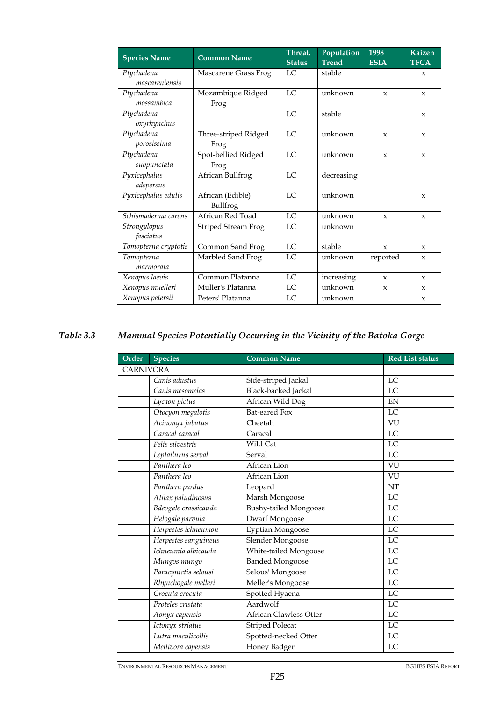| <b>Species Name</b>  | <b>Common Name</b>         | Threat.       | Population   | 1998                | <b>Kaizen</b>       |
|----------------------|----------------------------|---------------|--------------|---------------------|---------------------|
|                      |                            | <b>Status</b> | <b>Trend</b> | <b>ESIA</b>         | <b>TFCA</b>         |
| Ptychadena           | Mascarene Grass Frog       | $_{\rm LC}$   | stable       |                     | X                   |
| mascareniensis       |                            |               |              |                     |                     |
| Ptychadena           | Mozambique Ridged          | LC            | unknown      | $\mathbf{x}$        | $\mathbf{x}$        |
| mossambica           | Frog                       |               |              |                     |                     |
| Ptychadena           |                            | LC            | stable       |                     | $\mathbf{x}$        |
| oxyrhynchus          |                            |               |              |                     |                     |
| Ptychadena           | Three-striped Ridged       | LC            | unknown      | $\boldsymbol{\chi}$ | $\mathbf{x}$        |
| porosissima          | Frog                       |               |              |                     |                     |
| Ptychadena           | Spot-bellied Ridged        | LC            | unknown      | $\mathbf{x}$        | $\mathbf{x}$        |
| subpunctata          | Frog                       |               |              |                     |                     |
| Pyxicephalus         | African Bullfrog           | <b>LC</b>     | decreasing   |                     |                     |
| adspersus            |                            |               |              |                     |                     |
| Pyxicephalus edulis  | African (Edible)           | $_{\rm LC}$   | unknown      |                     | $\mathbf{x}$        |
|                      | Bullfrog                   |               |              |                     |                     |
| Schismaderma carens  | African Red Toad           | LC            | unknown      | X                   | $\mathbf{x}$        |
| Strongylopus         | <b>Striped Stream Frog</b> | LC            | unknown      |                     |                     |
| fasciatus            |                            |               |              |                     |                     |
| Tomopterna cryptotis | Common Sand Frog           | LC            | stable       | $\boldsymbol{\chi}$ | $\mathbf{x}$        |
| Tomopterna           | Marbled Sand Frog          | LC            | unknown      | reported            | $\boldsymbol{\chi}$ |
| marmorata            |                            |               |              |                     |                     |
| Xenopus laevis       | Common Platanna            | LC            | increasing   | $\mathbf{x}$        | $\mathbf{x}$        |
| Xenopus muelleri     | Muller's Platanna          | LC            | unknown      | X                   | X                   |
| Xenopus petersii     | Peters' Platanna           | LC            | unknown      |                     | X                   |

## *Table 3.3 Mammal Species Potentially Occurring in the Vicinity of the Batoka Gorge*

|                  | Order Species        | <b>Common Name</b>            | <b>Red List status</b> |
|------------------|----------------------|-------------------------------|------------------------|
| <b>CARNIVORA</b> |                      |                               |                        |
|                  | Canis adustus        | Side-striped Jackal           | LC                     |
|                  | Canis mesomelas      | <b>Black-backed Jackal</b>    | $\overline{LC}$        |
|                  | Lycaon pictus        | African Wild Dog              | EN                     |
|                  | Otocyon megalotis    | <b>Bat-eared Fox</b>          | $\overline{LC}$        |
|                  | Acinonyx jubatus     | Cheetah                       | VU                     |
|                  | Caracal caracal      | Caracal                       | $\overline{LC}$        |
|                  | Felis silvestris     | Wild Cat                      | $\overline{LC}$        |
|                  | Leptailurus serval   | Serval                        | LC                     |
|                  | Panthera leo         | African Lion                  | VU                     |
|                  | Panthera leo         | African Lion                  | VU                     |
|                  | Panthera pardus      | Leopard                       | <b>NT</b>              |
|                  | Atilax paludinosus   | Marsh Mongoose                | LC                     |
|                  | Bdeogale crassicauda | <b>Bushy-tailed Mongoose</b>  | LC                     |
|                  | Helogale parvula     | <b>Dwarf Mongoose</b>         | LC                     |
|                  | Herpestes ichneumon  | <b>Eyptian Mongoose</b>       | $\overline{LC}$        |
|                  | Herpestes sanguineus | Slender Mongoose              | LC                     |
|                  | Ichneumia albicauda  | White-tailed Mongoose         | LC                     |
|                  | Mungos mungo         | <b>Banded Mongoose</b>        | LC                     |
|                  | Paracynictis selousi | Selous' Mongoose              | LC                     |
|                  | Rhynchogale melleri  | Meller's Mongoose             | LC                     |
|                  | Crocuta crocuta      | Spotted Hyaena                | $\overline{LC}$        |
|                  | Proteles cristata    | Aardwolf                      | LC                     |
|                  | Aonyx capensis       | <b>African Clawless Otter</b> | LC                     |
|                  | Ictonyx striatus     | <b>Striped Polecat</b>        | $\overline{LC}$        |
|                  | Lutra maculicollis   | Spotted-necked Otter          | LC                     |
|                  | Mellivora capensis   | Honey Badger                  | LC                     |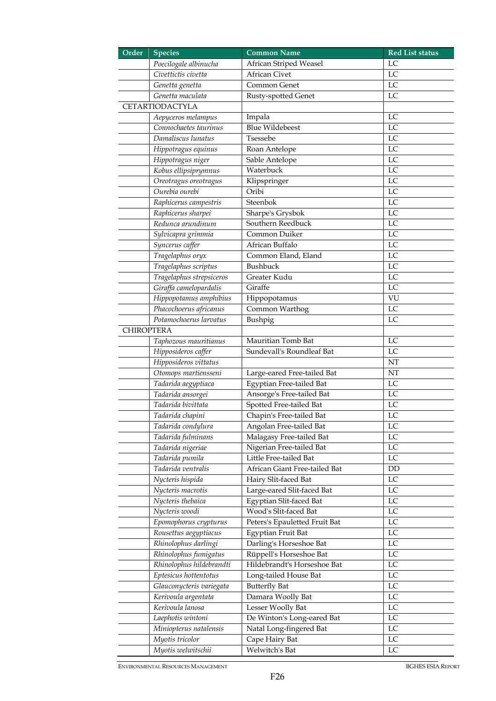| Order             | <b>Species</b>                          | <b>Common Name</b>                        | <b>Red List status</b>     |
|-------------------|-----------------------------------------|-------------------------------------------|----------------------------|
|                   | Poecilogale albinucha                   | African Striped Weasel                    | LC                         |
|                   | Civettictis civetta                     | African Civet                             | LC                         |
|                   | Genetta genetta                         | Common Genet                              | $_{\rm LC}$                |
|                   | Genetta maculata                        | Rusty-spotted Genet                       | LC                         |
|                   | <b>CETARTIODACTYLA</b>                  |                                           |                            |
|                   | Aepyceros melampus                      | Impala                                    | LC                         |
|                   | Connochaetes taurinus                   | <b>Blue Wildebeest</b>                    | LC                         |
|                   | Damaliscus lunatus                      | Tsessebe                                  | LC                         |
|                   | Hippotragus equinus                     | Roan Antelope                             | $_{\rm LC}$                |
|                   | Hippotragus niger                       | Sable Antelope                            | LC                         |
|                   | Kobus ellipsiprymnus                    | Waterbuck                                 | LC                         |
|                   | Oreotragus oreotragus                   | Klipspringer                              | LC                         |
|                   | Ourebia ourebi                          | Oribi                                     | LC                         |
|                   | Raphicerus campestris                   | Steenbok                                  | LC                         |
|                   | Raphicerus sharpei                      | Sharpe's Grysbok                          | $_{\rm LC}$                |
|                   | Redunca arundinum                       | Southern Reedbuck                         | LC                         |
|                   | Sylvicapra grimmia                      | Common Duiker                             | $_{\rm LC}$                |
|                   | Syncerus caffer                         | African Buffalo                           | $_{\rm LC}$                |
|                   | Tragelaphus oryx                        | Common Eland, Eland                       | $_{\rm LC}$                |
|                   | Tragelaphus scriptus                    | <b>Bushbuck</b>                           | $_{\rm LC}$                |
|                   | Tragelaphus strepsiceros                | Greater Kudu                              | LC                         |
|                   | Giraffa camelopardalis                  | Giraffe                                   | LC                         |
|                   | Hippopotamus amphibius                  | Hippopotamus                              | VU                         |
|                   | Phacochoerus africanus                  | Common Warthog                            | $\rm LC$                   |
|                   | Potamochoerus larvatus                  | Bushpig                                   | LC                         |
| <b>CHIROPTERA</b> |                                         |                                           |                            |
|                   | Taphozous mauritianus                   | Mauritian Tomb Bat                        | LC                         |
|                   | Hipposideros caffer                     | Sundevall's Roundleaf Bat                 | LC                         |
|                   | Hipposideros vittatus                   |                                           | NT                         |
|                   | Otomops martiensseni                    | Large-eared Free-tailed Bat               | $\mathop{\rm NT}\nolimits$ |
|                   | Tadarida aegyptiaca                     | Egyptian Free-tailed Bat                  | $_{\rm LC}$                |
|                   | Tadarida ansorgei                       | Ansorge's Free-tailed Bat                 | $_{\rm LC}$                |
|                   | Tadarida bivittata                      | Spotted Free-tailed Bat                   | LC                         |
|                   | Tadarida chapini                        | Chapin's Free-tailed Bat                  | LC                         |
|                   | Tadarida condylura                      | Angolan Free-tailed Bat                   | LC                         |
|                   | Tadarida fulminans                      | Malagasy Free-tailed Bat                  | LC                         |
|                   | Tadarida nigeriae                       | Nigerian Free-tailed Bat                  | LC                         |
|                   | Tadarida pumila                         | Little Free-tailed Bat                    | $_{\rm LC}$                |
|                   | Tadarida ventralis                      | African Giant Free-tailed Bat             | $\rm{DD}$                  |
|                   | Nycteris hispida                        | Hairy Slit-faced Bat                      | $_{\rm LC}$                |
|                   | Nycteris macrotis                       | Large-eared Slit-faced Bat                | $_{\rm LC}$                |
|                   | Nycteris thebaica                       | Egyptian Slit-faced Bat                   | LC                         |
|                   | Nycteris woodi                          | Wood's Slit-faced Bat                     | LC                         |
|                   | Epomophorus crypturus                   | Peters's Epauletted Fruit Bat             | LC                         |
|                   | Rousettus aegyptiacus                   | Egyptian Fruit Bat                        | $_{\rm LC}$                |
|                   | Rhinolophus darlingi                    | Darling's Horseshoe Bat                   | $_{\rm LC}$                |
|                   | Rhinolophus fumigatus                   | Rüppell's Horseshoe Bat                   | LC                         |
|                   | Rhinolophus hildebrandti                | Hildebrandt's Horseshoe Bat               | LC                         |
|                   | Eptesicus hottentotus                   | Long-tailed House Bat                     | LC                         |
|                   | Glauconycteris variegata                | <b>Butterfly Bat</b><br>Damara Woolly Bat | LC                         |
|                   | Kerivoula argentata<br>Kerivoula lanosa | Lesser Woolly Bat                         | LC<br>LC                   |
|                   | Laephotis wintoni                       | De Winton's Long-eared Bat                | $_{\rm LC}$                |
|                   | Miniopterus natalensis                  | Natal Long-fingered Bat                   | $_{\rm LC}$                |
|                   | Myotis tricolor                         | Cape Hairy Bat                            | $_{\rm LC}$                |
|                   | Myotis welwitschii                      | Welwitch's Bat                            | LC                         |
|                   |                                         |                                           |                            |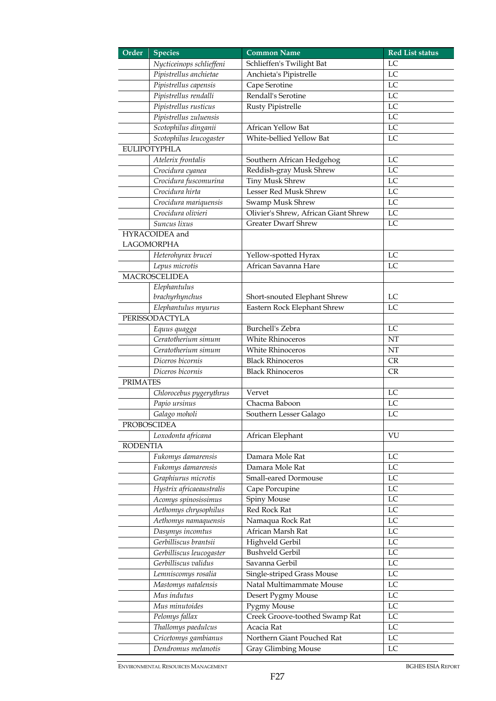| Order               | <b>Species</b>           | <b>Common Name</b>                   | <b>Red List status</b> |
|---------------------|--------------------------|--------------------------------------|------------------------|
|                     | Nycticeinops schlieffeni | Schlieffen's Twilight Bat            | LC                     |
|                     | Pipistrellus anchietae   | Anchieta's Pipistrelle               | LC                     |
|                     | Pipistrellus capensis    | Cape Serotine                        | LC                     |
|                     | Pipistrellus rendalli    | Rendall's Serotine                   | LC                     |
|                     | Pipistrellus rusticus    | <b>Rusty Pipistrelle</b>             | LC                     |
|                     | Pipistrellus zuluensis   |                                      | $_{\rm LC}$            |
|                     | Scotophilus dinganii     | African Yellow Bat                   | LC                     |
|                     | Scotophilus leucogaster  | White-bellied Yellow Bat             | $_{\rm LC}$            |
| <b>EULIPOTYPHLA</b> |                          |                                      |                        |
|                     | Atelerix frontalis       | Southern African Hedgehog            | LC                     |
|                     | Crocidura cyanea         | Reddish-gray Musk Shrew              | LC                     |
|                     | Crocidura fuscomurina    | <b>Tiny Musk Shrew</b>               | LC                     |
|                     | Crocidura hirta          | Lesser Red Musk Shrew                | LC                     |
|                     | Crocidura mariquensis    | Swamp Musk Shrew                     | LC                     |
|                     | Crocidura olivieri       | Olivier's Shrew, African Giant Shrew | $_{\rm LC}$            |
|                     | Suncus lixus             | <b>Greater Dwarf Shrew</b>           | LC                     |
|                     | HYRACOIDEA and           |                                      |                        |
| LAGOMORPHA          |                          |                                      |                        |
|                     | Heterohyrax brucei       | Yellow-spotted Hyrax                 | LC                     |
|                     | Lepus microtis           | African Savanna Hare                 | LC                     |
|                     | MACROSCELIDEA            |                                      |                        |
|                     | Elephantulus             |                                      |                        |
|                     | brachyrhynchus           | Short-snouted Elephant Shrew         | LC                     |
|                     | Elephantulus myurus      | Eastern Rock Elephant Shrew          | LC                     |
|                     | PERISSODACTYLA           |                                      |                        |
|                     | Equus quagga             | <b>Burchell's Zebra</b>              | $_{\rm LC}$            |
|                     | Ceratotherium simum      | White Rhinoceros                     | $\rm{NT}$              |
|                     | Ceratotherium simum      | White Rhinoceros                     | $\rm{NT}$              |
|                     | Diceros bicornis         | <b>Black Rhinoceros</b>              | CR                     |
|                     | Diceros bicornis         | <b>Black Rhinoceros</b>              | <b>CR</b>              |
| <b>PRIMATES</b>     |                          |                                      |                        |
|                     | Chlorocebus pygerythrus  | Vervet                               | LC                     |
|                     | Papio ursinus            | Chacma Baboon                        | LC                     |
|                     | Galago moholi            | Southern Lesser Galago               | $_{\rm LC}$            |
| PROBOSCIDEA         |                          |                                      |                        |
|                     | Loxodonta africana       | African Elephant                     | VU                     |
| <b>RODENTIA</b>     |                          |                                      |                        |
|                     | Fukomys damarensis       | Damara Mole Rat                      | $_{\rm LC}$            |
|                     | Fukomys damarensis       | Damara Mole Rat                      | LC                     |
|                     | Graphiurus microtis      | Small-eared Dormouse                 | LC                     |
|                     | Hystrix africaeaustralis | Cape Porcupine                       | LC                     |
|                     | Acomys spinosissimus     | Spiny Mouse                          | $_{\rm LC}$            |
|                     | Aethomys chrysophilus    | Red Rock Rat                         | $_{\rm LC}$            |
|                     | Aethomys namaquensis     | Namaqua Rock Rat                     | LC                     |
|                     | Dasymys incomtus         | African Marsh Rat                    | LC                     |
|                     | Gerbilliscus brantsii    | Highveld Gerbil                      | LC                     |
|                     | Gerbilliscus leucogaster | <b>Bushveld Gerbil</b>               | LC                     |
|                     | Gerbilliscus validus     | Savanna Gerbil                       | LC                     |
|                     | Lemniscomys rosalia      | Single-striped Grass Mouse           | LC                     |
|                     | Mastomys natalensis      | Natal Multimammate Mouse             | LC                     |
|                     | Mus indutus              | Desert Pygmy Mouse                   | LC                     |
|                     | Mus minutoides           | <b>Pygmy Mouse</b>                   | LC                     |
|                     | Pelomys fallax           | Creek Groove-toothed Swamp Rat       | LC                     |
|                     | Thallomys paedulcus      | Acacia Rat                           | LC                     |
|                     | Cricetomys gambianus     | Northern Giant Pouched Rat           | $_{\rm LC}$            |
|                     | Dendromus melanotis      | Gray Glimbing Mouse                  | $_{\rm LC}$            |